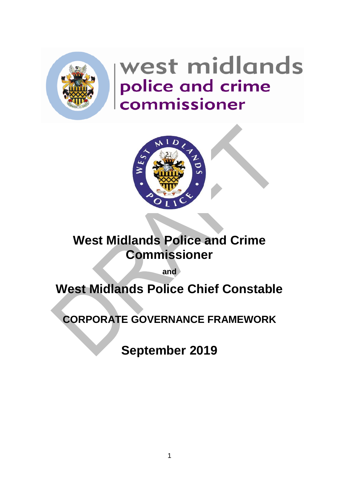

# west midlands police and crime<br>commissioner



# **West Midlands Police and Crime Commissioner**

**and**

# **West Midlands Police Chief Constable**

**CORPORATE GOVERNANCE FRAMEWORK** 

**September 2019**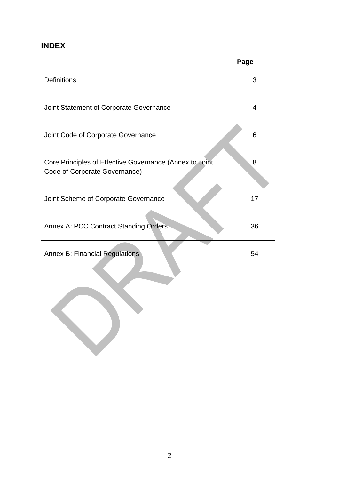# **INDEX**

|                                                                                          | Page |
|------------------------------------------------------------------------------------------|------|
| <b>Definitions</b>                                                                       | 3    |
| Joint Statement of Corporate Governance                                                  | 4    |
| Joint Code of Corporate Governance                                                       | 6    |
| Core Principles of Effective Governance (Annex to Joint<br>Code of Corporate Governance) | 8    |
| Joint Scheme of Corporate Governance                                                     | 17   |
| Annex A: PCC Contract Standing Orders                                                    | 36   |
| <b>Annex B: Financial Regulations</b>                                                    | 54   |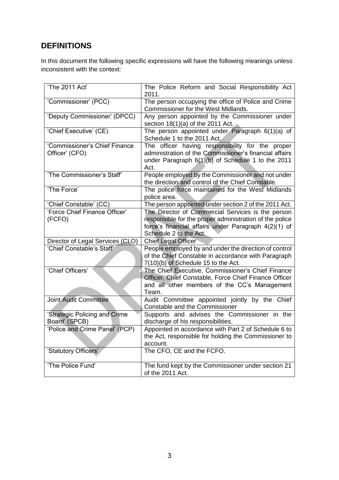# **DEFINITIONS**

In this document the following specific expressions will have the following meanings unless inconsistent with the context:

| 'The 2011 Act'                                  | The Police Reform and Social Responsibility Act<br>2011.                                                                                                                |
|-------------------------------------------------|-------------------------------------------------------------------------------------------------------------------------------------------------------------------------|
| 'Commissioner' (PCC)                            | The person occupying the office of Police and Crime<br>Commissioner for the West Midlands.                                                                              |
| 'Deputy Commissioner' (DPCC)                    | Any person appointed by the Commissioner under<br>section $18(1)(a)$ of the 2011 Act.                                                                                   |
| 'Chief Executive' (CE)                          | The person appointed under Paragraph 6(1)(a) of<br>Schedule 1 to the 2011 Act.                                                                                          |
| 'Commissioner's Chief Finance<br>Officer' (CFO) | The officer having responsibility for the proper<br>administration of the Commissioner's financial affairs<br>under Paragraph 6(1)(b) of Schedule 1 to the 2011<br>Act. |
| 'The Commissioner's Staff'                      | People employed by the Commissioner and not under<br>the direction and control of the Chief Constable.                                                                  |
| 'The Force'                                     | The police force maintained for the West Midlands<br>police area.                                                                                                       |
| 'Chief Constable' (CC)                          | The person appointed under section 2 of the 2011 Act.                                                                                                                   |
| 'Force Chief Finance Officer'                   | The Director of Commercial Services is the person                                                                                                                       |
| (FCFO)                                          | responsible for the proper administration of the police                                                                                                                 |
|                                                 | force's financial affairs under Paragraph 4(2)(1) of<br>Schedule 2 to the Act.                                                                                          |
| Director of Legal Services (CLO)                | <b>Chief Legal Officer</b>                                                                                                                                              |
| 'Chief Constable's Staff'                       | People employed by and under the direction of control<br>of the Chief Constable in accordance with Paragraph<br>7(10)(b) of Schedule 15 to the Act.                     |
| 'Chief Officers'                                | The Chief Executive, Commissioner's Chief Finance<br>Officer, Chief Constable, Force Chief Finance Officer<br>and all other members of the CC's Management<br>Team.     |
| <b>Joint Audit Committee</b>                    | Audit Committee appointed jointly by the Chief<br>Constable and the Commissioner                                                                                        |
| 'Strategic Policing and Crime<br>Board' (SPCB)  | Supports and advises the Commissioner in the<br>discharge of his responsibilities.                                                                                      |
| 'Police and Crime Panel' (PCP)                  | Appointed in accordance with Part 2 of Schedule 6 to<br>the Act, responsible for holding the Commissioner to<br>account.                                                |
| 'Statutory Officers'                            | The CFO, CE and the FCFO.                                                                                                                                               |
| 'The Police Fund'                               | The fund kept by the Commissioner under section 21<br>of the 2011 Act.                                                                                                  |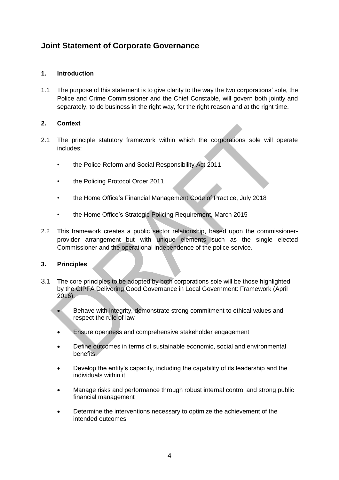### **Joint Statement of Corporate Governance**

#### **1. Introduction**

1.1 The purpose of this statement is to give clarity to the way the two corporations' sole, the Police and Crime Commissioner and the Chief Constable, will govern both jointly and separately, to do business in the right way, for the right reason and at the right time.

#### **2. Context**

- 2.1 The principle statutory framework within which the corporations sole will operate includes:
	- the Police Reform and Social Responsibility Act 2011
	- the Policing Protocol Order 2011
	- the Home Office's Financial Management Code of Practice, July 2018
	- the Home Office's Strategic Policing Requirement, March 2015
- 2.2 This framework creates a public sector relationship, based upon the commissionerprovider arrangement but with unique elements such as the single elected Commissioner and the operational independence of the police service.

#### **3. Principles**

- 3.1 The core principles to be adopted by both corporations sole will be those highlighted by the CIPFA Delivering Good Governance in Local Government: Framework (April 2016):
	- Behave with integrity, demonstrate strong commitment to ethical values and respect the rule of law
	- Ensure openness and comprehensive stakeholder engagement
	- Define outcomes in terms of sustainable economic, social and environmental benefits
	- Develop the entity's capacity, including the capability of its leadership and the individuals within it
	- Manage risks and performance through robust internal control and strong public financial management
	- Determine the interventions necessary to optimize the achievement of the intended outcomes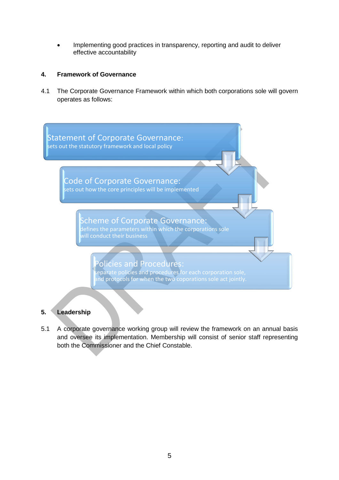Implementing good practices in transparency, reporting and audit to deliver effective accountability

#### **4. Framework of Governance**

4.1 The Corporate Governance Framework within which both corporations sole will govern operates as follows:



#### **5. Leadership**

5.1 A corporate governance working group will review the framework on an annual basis and oversee its implementation. Membership will consist of senior staff representing both the Commissioner and the Chief Constable.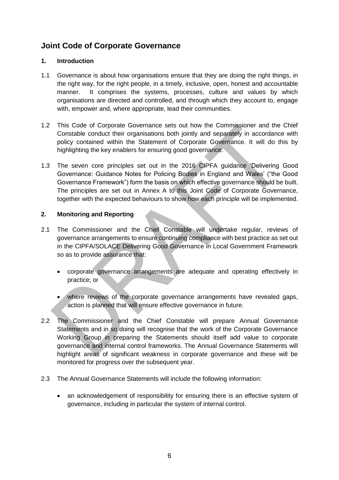## **Joint Code of Corporate Governance**

#### **1. Introduction**

- 1.1 Governance is about how organisations ensure that they are doing the right things, in the right way, for the right people, in a timely, inclusive, open, honest and accountable manner. It comprises the systems, processes, culture and values by which organisations are directed and controlled, and through which they account to, engage with, empower and, where appropriate, lead their communities.
- 1.2 This Code of Corporate Governance sets out how the Commissioner and the Chief Constable conduct their organisations both jointly and separately in accordance with policy contained within the Statement of Corporate Governance. It will do this by highlighting the key enablers for ensuring good governance.
- 1.3 The seven core principles set out in the 2016 CIPFA guidance 'Delivering Good Governance: Guidance Notes for Policing Bodies in England and Wales' ("the Good Governance Framework") form the basis on which effective governance should be built. The principles are set out in Annex A to this Joint Code of Corporate Governance, together with the expected behaviours to show how each principle will be implemented.

#### **2. Monitoring and Reporting**

- 2.1 The Commissioner and the Chief Constable will undertake regular, reviews of governance arrangements to ensure continuing compliance with best practice as set out in the CIPFA/SOLACE Delivering Good Governance in Local Government Framework so as to provide assurance that:
	- corporate governance arrangements are adequate and operating effectively in practice; or
	- where reviews of the corporate governance arrangements have revealed gaps, action is planned that will ensure effective governance in future.
- 2.2 The Commissioner and the Chief Constable will prepare Annual Governance Statements and in so doing will recognise that the work of the Corporate Governance Working Group in preparing the Statements should itself add value to corporate governance and internal control frameworks. The Annual Governance Statements will highlight areas of significant weakness in corporate governance and these will be monitored for progress over the subsequent year.
- 2.3 The Annual Governance Statements will include the following information:
	- an acknowledgement of responsibility for ensuring there is an effective system of governance, including in particular the system of internal control.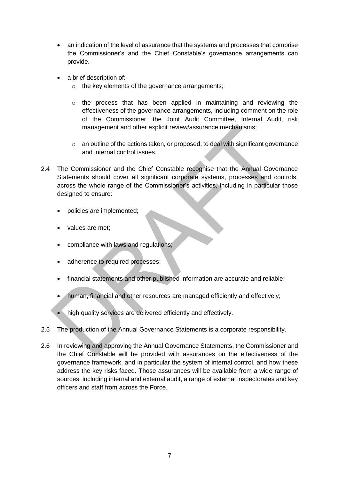- an indication of the level of assurance that the systems and processes that comprise the Commissioner's and the Chief Constable's governance arrangements can provide.
- a brief description of:
	- o the key elements of the governance arrangements;
	- o the process that has been applied in maintaining and reviewing the effectiveness of the governance arrangements, including comment on the role of the Commissioner, the Joint Audit Committee, Internal Audit, risk management and other explicit review/assurance mechanisms;
	- $\circ$  an outline of the actions taken, or proposed, to deal with significant governance and internal control issues.
- 2.4 The Commissioner and the Chief Constable recognise that the Annual Governance Statements should cover all significant corporate systems, processes and controls, across the whole range of the Commissioner's activities, including in particular those designed to ensure:
	- policies are implemented;
	- values are met;
	- compliance with laws and regulations;
	- adherence to required processes;
	- financial statements and other published information are accurate and reliable;
	- human, financial and other resources are managed efficiently and effectively;
	- high quality services are delivered efficiently and effectively.
- 2.5 The production of the Annual Governance Statements is a corporate responsibility.
- 2.6 In reviewing and approving the Annual Governance Statements, the Commissioner and the Chief Constable will be provided with assurances on the effectiveness of the governance framework, and in particular the system of internal control, and how these address the key risks faced. Those assurances will be available from a wide range of sources, including internal and external audit, a range of external inspectorates and key officers and staff from across the Force.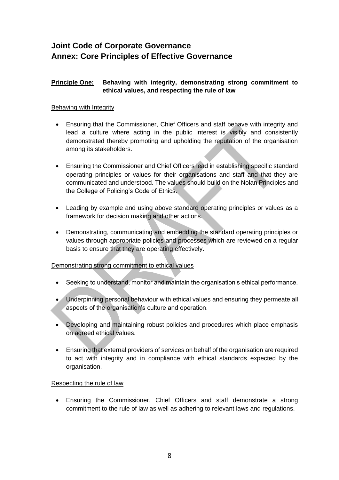# **Joint Code of Corporate Governance Annex: Core Principles of Effective Governance**

#### **Principle One: Behaving with integrity, demonstrating strong commitment to ethical values, and respecting the rule of law**

#### Behaving with Integrity

- Ensuring that the Commissioner, Chief Officers and staff behave with integrity and lead a culture where acting in the public interest is visibly and consistently demonstrated thereby promoting and upholding the reputation of the organisation among its stakeholders.
- Ensuring the Commissioner and Chief Officers lead in establishing specific standard operating principles or values for their organisations and staff and that they are communicated and understood. The values should build on the Nolan Principles and the College of Policing's Code of Ethics.
- Leading by example and using above standard operating principles or values as a framework for decision making and other actions.
- Demonstrating, communicating and embedding the standard operating principles or values through appropriate policies and processes which are reviewed on a regular basis to ensure that they are operating effectively.

#### Demonstrating strong commitment to ethical values

- Seeking to understand, monitor and maintain the organisation's ethical performance.
- Underpinning personal behaviour with ethical values and ensuring they permeate all aspects of the organisation's culture and operation.
- Developing and maintaining robust policies and procedures which place emphasis on agreed ethical values.
- Ensuring that external providers of services on behalf of the organisation are required to act with integrity and in compliance with ethical standards expected by the organisation.

#### Respecting the rule of law

 Ensuring the Commissioner, Chief Officers and staff demonstrate a strong commitment to the rule of law as well as adhering to relevant laws and regulations.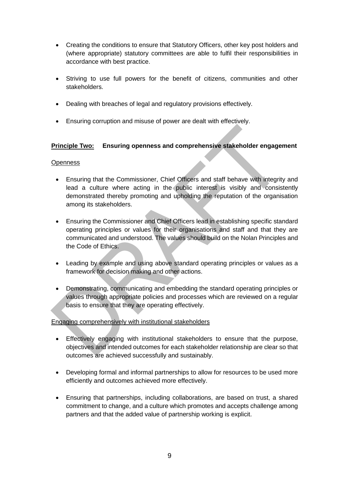- Creating the conditions to ensure that Statutory Officers, other key post holders and (where appropriate) statutory committees are able to fulfil their responsibilities in accordance with best practice.
- Striving to use full powers for the benefit of citizens, communities and other stakeholders.
- Dealing with breaches of legal and regulatory provisions effectively.
- Ensuring corruption and misuse of power are dealt with effectively.

#### **Principle Two: Ensuring openness and comprehensive stakeholder engagement**

#### **Openness**

- Ensuring that the Commissioner, Chief Officers and staff behave with integrity and lead a culture where acting in the public interest is visibly and consistently demonstrated thereby promoting and upholding the reputation of the organisation among its stakeholders.
- Ensuring the Commissioner and Chief Officers lead in establishing specific standard operating principles or values for their organisations and staff and that they are communicated and understood. The values should build on the Nolan Principles and the Code of Ethics.
- Leading by example and using above standard operating principles or values as a framework for decision making and other actions.
- Demonstrating, communicating and embedding the standard operating principles or values through appropriate policies and processes which are reviewed on a regular basis to ensure that they are operating effectively.

#### Engaging comprehensively with institutional stakeholders

- Effectively engaging with institutional stakeholders to ensure that the purpose, objectives and intended outcomes for each stakeholder relationship are clear so that outcomes are achieved successfully and sustainably.
- Developing formal and informal partnerships to allow for resources to be used more efficiently and outcomes achieved more effectively.
- Ensuring that partnerships, including collaborations, are based on trust, a shared commitment to change, and a culture which promotes and accepts challenge among partners and that the added value of partnership working is explicit.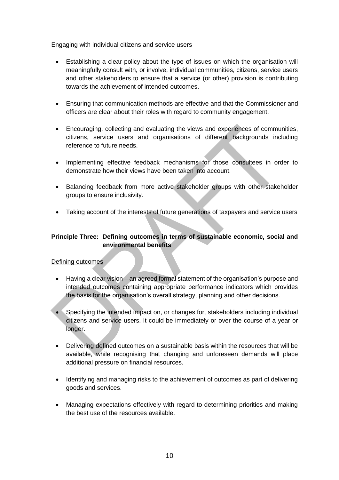#### Engaging with individual citizens and service users

- Establishing a clear policy about the type of issues on which the organisation will meaningfully consult with, or involve, individual communities, citizens, service users and other stakeholders to ensure that a service (or other) provision is contributing towards the achievement of intended outcomes.
- Ensuring that communication methods are effective and that the Commissioner and officers are clear about their roles with regard to community engagement.
- Encouraging, collecting and evaluating the views and experiences of communities, citizens, service users and organisations of different backgrounds including reference to future needs.
- Implementing effective feedback mechanisms for those consultees in order to demonstrate how their views have been taken into account.
- Balancing feedback from more active stakeholder groups with other stakeholder groups to ensure inclusivity.
- Taking account of the interests of future generations of taxpayers and service users

#### **Principle Three: Defining outcomes in terms of sustainable economic, social and environmental benefits**

#### Defining outcomes

- Having a clear vision an agreed formal statement of the organisation's purpose and intended outcomes containing appropriate performance indicators which provides the basis for the organisation's overall strategy, planning and other decisions.
- Specifying the intended impact on, or changes for, stakeholders including individual citizens and service users. It could be immediately or over the course of a year or longer.
- Delivering defined outcomes on a sustainable basis within the resources that will be available, while recognising that changing and unforeseen demands will place additional pressure on financial resources.
- Identifying and managing risks to the achievement of outcomes as part of delivering goods and services.
- Managing expectations effectively with regard to determining priorities and making the best use of the resources available.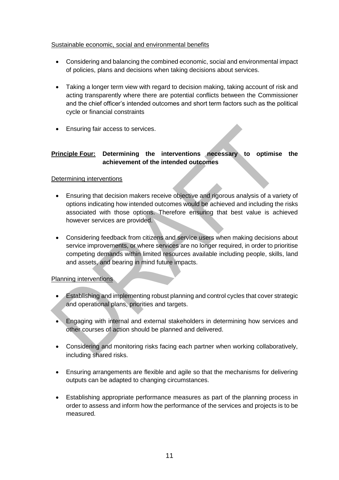#### Sustainable economic, social and environmental benefits

- Considering and balancing the combined economic, social and environmental impact of policies, plans and decisions when taking decisions about services.
- Taking a longer term view with regard to decision making, taking account of risk and acting transparently where there are potential conflicts between the Commissioner and the chief officer's intended outcomes and short term factors such as the political cycle or financial constraints
- Ensuring fair access to services.

#### **Principle Four: Determining the interventions necessary to optimise the achievement of the intended outcomes**

#### Determining interventions

- Ensuring that decision makers receive objective and rigorous analysis of a variety of options indicating how intended outcomes would be achieved and including the risks associated with those options. Therefore ensuring that best value is achieved however services are provided.
- Considering feedback from citizens and service users when making decisions about service improvements, or where services are no longer required, in order to prioritise competing demands within limited resources available including people, skills, land and assets, and bearing in mind future impacts.

#### Planning interventions

- Establishing and implementing robust planning and control cycles that cover strategic and operational plans, priorities and targets.
- Engaging with internal and external stakeholders in determining how services and other courses of action should be planned and delivered.
- Considering and monitoring risks facing each partner when working collaboratively, including shared risks.
- Ensuring arrangements are flexible and agile so that the mechanisms for delivering outputs can be adapted to changing circumstances.
- Establishing appropriate performance measures as part of the planning process in order to assess and inform how the performance of the services and projects is to be measured.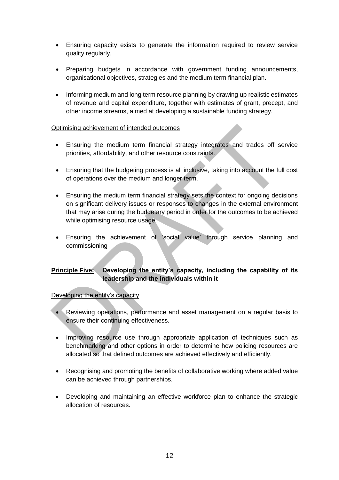- Ensuring capacity exists to generate the information required to review service quality regularly.
- Preparing budgets in accordance with government funding announcements, organisational objectives, strategies and the medium term financial plan.
- Informing medium and long term resource planning by drawing up realistic estimates of revenue and capital expenditure, together with estimates of grant, precept, and other income streams, aimed at developing a sustainable funding strategy.

#### Optimising achievement of intended outcomes

- Ensuring the medium term financial strategy integrates and trades off service priorities, affordability, and other resource constraints.
- Ensuring that the budgeting process is all inclusive, taking into account the full cost of operations over the medium and longer term.
- Ensuring the medium term financial strategy sets the context for ongoing decisions on significant delivery issues or responses to changes in the external environment that may arise during the budgetary period in order for the outcomes to be achieved while optimising resource usage.
- Ensuring the achievement of 'social value' through service planning and commissioning

#### **Principle Five: Developing the entity's capacity, including the capability of its leadership and the individuals within it**

#### Developing the entity's capacity

- Reviewing operations, performance and asset management on a regular basis to ensure their continuing effectiveness.
- Improving resource use through appropriate application of techniques such as benchmarking and other options in order to determine how policing resources are allocated so that defined outcomes are achieved effectively and efficiently.
- Recognising and promoting the benefits of collaborative working where added value can be achieved through partnerships.
- Developing and maintaining an effective workforce plan to enhance the strategic allocation of resources.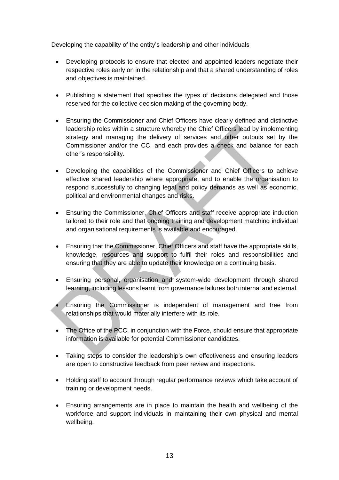#### Developing the capability of the entity's leadership and other individuals

- Developing protocols to ensure that elected and appointed leaders negotiate their respective roles early on in the relationship and that a shared understanding of roles and objectives is maintained.
- Publishing a statement that specifies the types of decisions delegated and those reserved for the collective decision making of the governing body.
- Ensuring the Commissioner and Chief Officers have clearly defined and distinctive leadership roles within a structure whereby the Chief Officers lead by implementing strategy and managing the delivery of services and other outputs set by the Commissioner and/or the CC, and each provides a check and balance for each other's responsibility.
- Developing the capabilities of the Commissioner and Chief Officers to achieve effective shared leadership where appropriate, and to enable the organisation to respond successfully to changing legal and policy demands as well as economic, political and environmental changes and risks.
- Ensuring the Commissioner, Chief Officers and staff receive appropriate induction tailored to their role and that ongoing training and development matching individual and organisational requirements is available and encouraged.
- Ensuring that the Commissioner, Chief Officers and staff have the appropriate skills, knowledge, resources and support to fulfil their roles and responsibilities and ensuring that they are able to update their knowledge on a continuing basis.
- Ensuring personal, organisation and system-wide development through shared learning, including lessons learnt from governance failures both internal and external.
- Ensuring the Commissioner is independent of management and free from relationships that would materially interfere with its role.
- The Office of the PCC, in conjunction with the Force, should ensure that appropriate information is available for potential Commissioner candidates.
- Taking steps to consider the leadership's own effectiveness and ensuring leaders are open to constructive feedback from peer review and inspections.
- Holding staff to account through regular performance reviews which take account of training or development needs.
- Ensuring arrangements are in place to maintain the health and wellbeing of the workforce and support individuals in maintaining their own physical and mental wellbeing.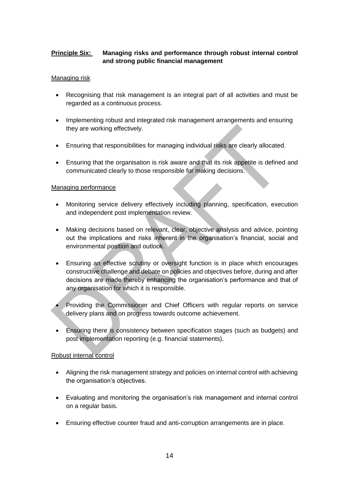#### **Principle Six:** Managing risks and performance through robust internal control **and strong public financial management**

#### Managing risk

- Recognising that risk management is an integral part of all activities and must be regarded as a continuous process.
- Implementing robust and integrated risk management arrangements and ensuring they are working effectively.
- Ensuring that responsibilities for managing individual risks are clearly allocated.
- Ensuring that the organisation is risk aware and that its risk appetite is defined and communicated clearly to those responsible for making decisions.

#### Managing performance

- Monitoring service delivery effectively including planning, specification, execution and independent post implementation review.
- Making decisions based on relevant, clear, objective analysis and advice, pointing out the implications and risks inherent in the organisation's financial, social and environmental position and outlook.
- Ensuring an effective scrutiny or oversight function is in place which encourages constructive challenge and debate on policies and objectives before, during and after decisions are made thereby enhancing the organisation's performance and that of any organisation for which it is responsible.
- Providing the Commissioner and Chief Officers with regular reports on service delivery plans and on progress towards outcome achievement.
- Ensuring there is consistency between specification stages (such as budgets) and post implementation reporting (e.g. financial statements).

#### Robust internal control

- Aligning the risk management strategy and policies on internal control with achieving the organisation's objectives.
- Evaluating and monitoring the organisation's risk management and internal control on a regular basis.
- Ensuring effective counter fraud and anti-corruption arrangements are in place.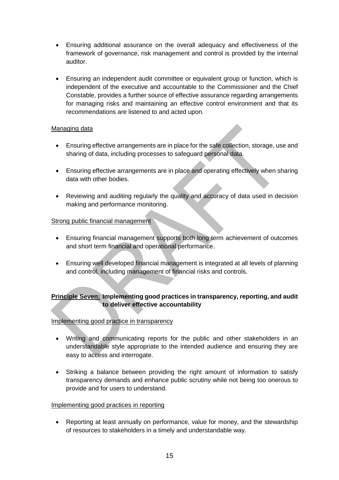- Ensuring additional assurance on the overall adequacy and effectiveness of the framework of governance, risk management and control is provided by the internal auditor.
- Ensuring an independent audit committee or equivalent group or function, which is independent of the executive and accountable to the Commissioner and the Chief Constable, provides a further source of effective assurance regarding arrangements for managing risks and maintaining an effective control environment and that its recommendations are listened to and acted upon.

#### Managing data

- Ensuring effective arrangements are in place for the safe collection, storage, use and sharing of data, including processes to safeguard personal data.
- Ensuring effective arrangements are in place and operating effectively when sharing data with other bodies.
- Reviewing and auditing regularly the quality and accuracy of data used in decision making and performance monitoring.

#### Strong public financial management

- Ensuring financial management supports both long term achievement of outcomes and short term financial and operational performance.
- Ensuring well developed financial management is integrated at all levels of planning and control, including management of financial risks and controls.

#### **Principle Seven: Implementing good practices in transparency, reporting, and audit to deliver effective accountability**

#### Implementing good practice in transparency

- Writing and communicating reports for the public and other stakeholders in an understandable style appropriate to the intended audience and ensuring they are easy to access and interrogate.
- Striking a balance between providing the right amount of information to satisfy transparency demands and enhance public scrutiny while not being too onerous to provide and for users to understand.

#### Implementing good practices in reporting

 Reporting at least annually on performance, value for money, and the stewardship of resources to stakeholders in a timely and understandable way.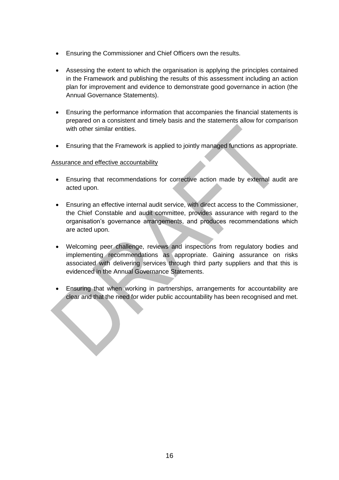- Ensuring the Commissioner and Chief Officers own the results.
- Assessing the extent to which the organisation is applying the principles contained in the Framework and publishing the results of this assessment including an action plan for improvement and evidence to demonstrate good governance in action (the Annual Governance Statements).
- Ensuring the performance information that accompanies the financial statements is prepared on a consistent and timely basis and the statements allow for comparison with other similar entities.
- Ensuring that the Framework is applied to jointly managed functions as appropriate.

#### Assurance and effective accountability

- Ensuring that recommendations for corrective action made by external audit are acted upon.
- Ensuring an effective internal audit service, with direct access to the Commissioner, the Chief Constable and audit committee, provides assurance with regard to the organisation's governance arrangements, and produces recommendations which are acted upon.
- Welcoming peer challenge, reviews and inspections from regulatory bodies and implementing recommendations as appropriate. Gaining assurance on risks associated with delivering services through third party suppliers and that this is evidenced in the Annual Governance Statements.
- Ensuring that when working in partnerships, arrangements for accountability are clear and that the need for wider public accountability has been recognised and met.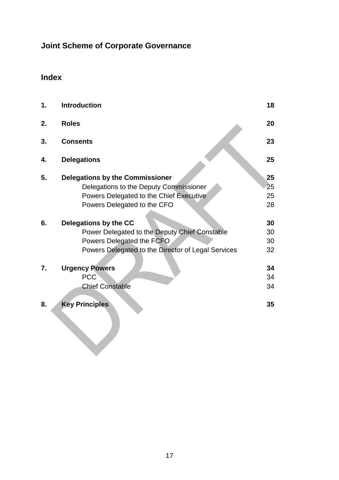# **Joint Scheme of Corporate Governance**

# **Index**

| 1. | <b>Introduction</b>                                | 18 |
|----|----------------------------------------------------|----|
| 2. | <b>Roles</b>                                       | 20 |
| 3. | <b>Consents</b>                                    | 23 |
| 4. | <b>Delegations</b>                                 | 25 |
| 5. | <b>Delegations by the Commissioner</b>             | 25 |
|    | Delegations to the Deputy Commissioner             | 25 |
|    | Powers Delegated to the Chief Executive            | 25 |
|    | Powers Delegated to the CFO                        | 28 |
| 6. | Delegations by the CC                              | 30 |
|    | Power Delegated to the Deputy Chief Constable      | 30 |
|    | Powers Delegated the FCFO                          | 30 |
|    | Powers Delegated to the Director of Legal Services | 32 |
| 7. | <b>Urgency Powers</b>                              | 34 |
|    | <b>PCC</b>                                         | 34 |
|    | <b>Chief Constable</b>                             | 34 |
| 8. | <b>Key Principles</b>                              | 35 |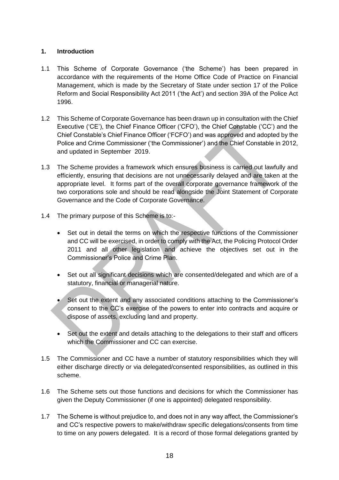#### **1. Introduction**

- 1.1 This Scheme of Corporate Governance ('the Scheme') has been prepared in accordance with the requirements of the Home Office Code of Practice on Financial Management, which is made by the Secretary of State under section 17 of the Police Reform and Social Responsibility Act 2011 ('the Act') and section 39A of the Police Act 1996.
- 1.2 This Scheme of Corporate Governance has been drawn up in consultation with the Chief Executive ('CE'), the Chief Finance Officer ('CFO'), the Chief Constable ('CC') and the Chief Constable's Chief Finance Officer ('FCFO') and was approved and adopted by the Police and Crime Commissioner ('the Commissioner') and the Chief Constable in 2012, and updated in September 2019.
- 1.3 The Scheme provides a framework which ensures business is carried out lawfully and efficiently, ensuring that decisions are not unnecessarily delayed and are taken at the appropriate level. It forms part of the overall corporate governance framework of the two corporations sole and should be read alongside the Joint Statement of Corporate Governance and the Code of Corporate Governance.
- 1.4 The primary purpose of this Scheme is to:-
	- Set out in detail the terms on which the respective functions of the Commissioner and CC will be exercised, in order to comply with the Act, the Policing Protocol Order 2011 and all other legislation and achieve the objectives set out in the Commissioner's Police and Crime Plan.
	- Set out all significant decisions which are consented/delegated and which are of a statutory, financial or managerial nature.
	- Set out the extent and any associated conditions attaching to the Commissioner's consent to the CC's exercise of the powers to enter into contracts and acquire or dispose of assets, excluding land and property.
	- Set out the extent and details attaching to the delegations to their staff and officers which the Commissioner and CC can exercise.
- 1.5 The Commissioner and CC have a number of statutory responsibilities which they will either discharge directly or via delegated/consented responsibilities, as outlined in this scheme.
- 1.6 The Scheme sets out those functions and decisions for which the Commissioner has given the Deputy Commissioner (if one is appointed) delegated responsibility.
- 1.7 The Scheme is without prejudice to, and does not in any way affect, the Commissioner's and CC's respective powers to make/withdraw specific delegations/consents from time to time on any powers delegated. It is a record of those formal delegations granted by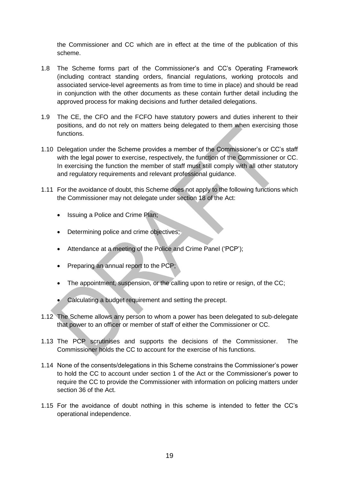the Commissioner and CC which are in effect at the time of the publication of this scheme.

- 1.8 The Scheme forms part of the Commissioner's and CC's Operating Framework (including contract standing orders, financial regulations, working protocols and associated service-level agreements as from time to time in place) and should be read in conjunction with the other documents as these contain further detail including the approved process for making decisions and further detailed delegations.
- 1.9 The CE, the CFO and the FCFO have statutory powers and duties inherent to their positions, and do not rely on matters being delegated to them when exercising those functions.
- 1.10 Delegation under the Scheme provides a member of the Commissioner's or CC's staff with the legal power to exercise, respectively, the function of the Commissioner or CC. In exercising the function the member of staff must still comply with all other statutory and regulatory requirements and relevant professional guidance.
- 1.11 For the avoidance of doubt, this Scheme does not apply to the following functions which the Commissioner may not delegate under section 18 of the Act:
	- Issuing a Police and Crime Plan;
	- Determining police and crime objectives;
	- Attendance at a meeting of the Police and Crime Panel ('PCP');
	- Preparing an annual report to the PCP;
	- The appointment, suspension, or the calling upon to retire or resign, of the CC;
	- Calculating a budget requirement and setting the precept.
- 1.12 The Scheme allows any person to whom a power has been delegated to sub-delegate that power to an officer or member of staff of either the Commissioner or CC.
- 1.13 The PCP scrutinises and supports the decisions of the Commissioner. The Commissioner holds the CC to account for the exercise of his functions.
- 1.14 None of the consents/delegations in this Scheme constrains the Commissioner's power to hold the CC to account under section 1 of the Act or the Commissioner's power to require the CC to provide the Commissioner with information on policing matters under section 36 of the Act.
- 1.15 For the avoidance of doubt nothing in this scheme is intended to fetter the CC's operational independence.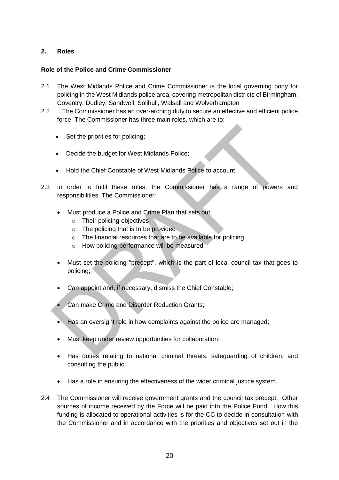#### **2. Roles**

#### **Role of the Police and Crime Commissioner**

- 2.1 The West Midlands Police and Crime Commissioner is the local governing body for policing in the West Midlands police area, covering metropolitan districts of Birmingham, Coventry, Dudley, Sandwell, Solihull, Walsall and Wolverhampton
- 2.2 . The Commissioner has an over-arching duty to secure an effective and efficient police force. The Commissioner has three main roles, which are to:
	- Set the priorities for policing;
	- Decide the budget for West Midlands Police;
	- Hold the Chief Constable of West Midlands Police to account.
- 2.3 In order to fulfil these roles, the Commissioner has a range of powers and responsibilities. The Commissioner:
	- Must produce a Police and Crime Plan that sets out:
		- o Their policing objectives
		- o The policing that is to be provided
		- o The financial resources that are to be available for policing
		- o How policing performance will be measured
	- Must set the policing "precept", which is the part of local council tax that goes to policing;
	- Can appoint and, if necessary, dismiss the Chief Constable;
	- Can make Crime and Disorder Reduction Grants;
	- $\bullet$  Has an oversight role in how complaints against the police are managed:
	- Must keep under review opportunities for collaboration;
	- Has duties relating to national criminal threats, safeguarding of children, and consulting the public;
	- Has a role in ensuring the effectiveness of the wider criminal justice system.
- 2.4 The Commissioner will receive government grants and the council tax precept. Other sources of income received by the Force will be paid into the Police Fund. How this funding is allocated to operational activities is for the CC to decide in consultation with the Commissioner and in accordance with the priorities and objectives set out in the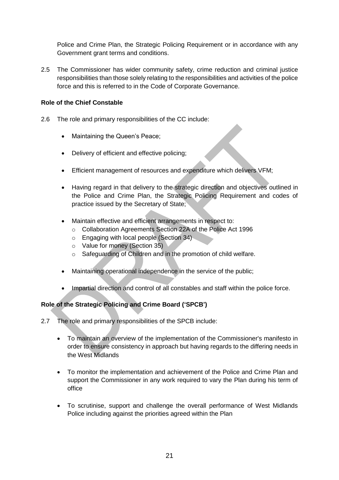Police and Crime Plan, the Strategic Policing Requirement or in accordance with any Government grant terms and conditions.

2.5 The Commissioner has wider community safety, crime reduction and criminal justice responsibilities than those solely relating to the responsibilities and activities of the police force and this is referred to in the Code of Corporate Governance.

#### **Role of the Chief Constable**

- 2.6 The role and primary responsibilities of the CC include:
	- Maintaining the Queen's Peace;
	- Delivery of efficient and effective policing;
	- Efficient management of resources and expenditure which delivers VFM;
	- Having regard in that delivery to the strategic direction and objectives outlined in the Police and Crime Plan, the Strategic Policing Requirement and codes of practice issued by the Secretary of State;
	- Maintain effective and efficient arrangements in respect to:
		- o Collaboration Agreements Section 22A of the Police Act 1996
		- o Engaging with local people (Section 34)
		- o Value for money (Section 35)
		- o Safeguarding of Children and in the promotion of child welfare.
	- Maintaining operational independence in the service of the public;
	- Impartial direction and control of all constables and staff within the police force.

#### **Role of the Strategic Policing and Crime Board ('SPCB')**

- 2.7 The role and primary responsibilities of the SPCB include:
	- To maintain an overview of the implementation of the Commissioner's manifesto in order to ensure consistency in approach but having regards to the differing needs in the West Midlands
	- To monitor the implementation and achievement of the Police and Crime Plan and support the Commissioner in any work required to vary the Plan during his term of office
	- To scrutinise, support and challenge the overall performance of West Midlands Police including against the priorities agreed within the Plan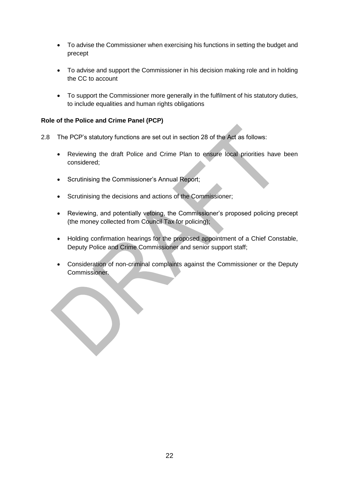- To advise the Commissioner when exercising his functions in setting the budget and precept
- To advise and support the Commissioner in his decision making role and in holding the CC to account
- To support the Commissioner more generally in the fulfilment of his statutory duties, to include equalities and human rights obligations

#### **Role of the Police and Crime Panel (PCP)**

- 2.8 The PCP's statutory functions are set out in section 28 of the Act as follows:
	- Reviewing the draft Police and Crime Plan to ensure local priorities have been considered;
	- Scrutinising the Commissioner's Annual Report;
	- Scrutinising the decisions and actions of the Commissioner;
	- Reviewing, and potentially vetoing, the Commissioner's proposed policing precept (the money collected from Council Tax for policing);
	- Holding confirmation hearings for the proposed appointment of a Chief Constable, Deputy Police and Crime Commissioner and senior support staff;
	- Consideration of non-criminal complaints against the Commissioner or the Deputy Commissioner.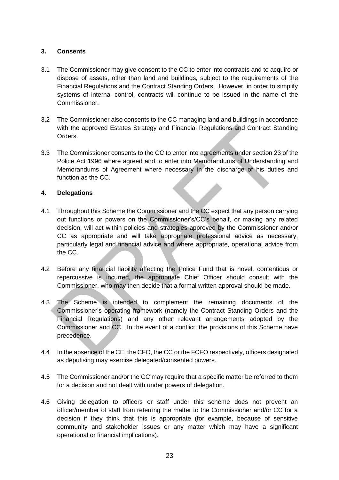#### **3. Consents**

- 3.1 The Commissioner may give consent to the CC to enter into contracts and to acquire or dispose of assets, other than land and buildings, subject to the requirements of the Financial Regulations and the Contract Standing Orders. However, in order to simplify systems of internal control, contracts will continue to be issued in the name of the Commissioner.
- 3.2 The Commissioner also consents to the CC managing land and buildings in accordance with the approved Estates Strategy and Financial Regulations and Contract Standing Orders.
- 3.3 The Commissioner consents to the CC to enter into agreements under section 23 of the Police Act 1996 where agreed and to enter into Memorandums of Understanding and Memorandums of Agreement where necessary in the discharge of his duties and function as the CC.

#### **4. Delegations**

- 4.1 Throughout this Scheme the Commissioner and the CC expect that any person carrying out functions or powers on the Commissioner's/CC's behalf, or making any related decision, will act within policies and strategies approved by the Commissioner and/or CC as appropriate and will take appropriate professional advice as necessary, particularly legal and financial advice and where appropriate, operational advice from the CC.
- 4.2 Before any financial liability affecting the Police Fund that is novel, contentious or repercussive is incurred, the appropriate Chief Officer should consult with the Commissioner, who may then decide that a formal written approval should be made.
- 4.3 The Scheme is intended to complement the remaining documents of the Commissioner's operating framework (namely the Contract Standing Orders and the Financial Regulations) and any other relevant arrangements adopted by the Commissioner and CC. In the event of a conflict, the provisions of this Scheme have precedence.
- 4.4 In the absence of the CE, the CFO, the CC or the FCFO respectively, officers designated as deputising may exercise delegated/consented powers.
- 4.5 The Commissioner and/or the CC may require that a specific matter be referred to them for a decision and not dealt with under powers of delegation.
- 4.6 Giving delegation to officers or staff under this scheme does not prevent an officer/member of staff from referring the matter to the Commissioner and/or CC for a decision if they think that this is appropriate (for example, because of sensitive community and stakeholder issues or any matter which may have a significant operational or financial implications).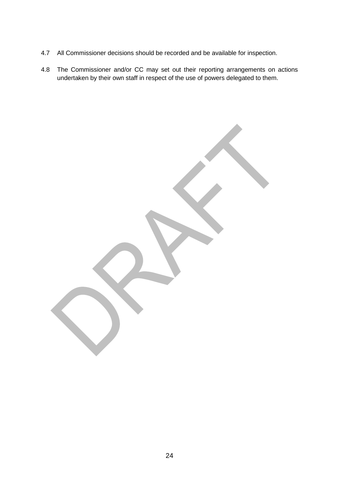- 4.7 All Commissioner decisions should be recorded and be available for inspection.
- 4.8 The Commissioner and/or CC may set out their reporting arrangements on actions undertaken by their own staff in respect of the use of powers delegated to them.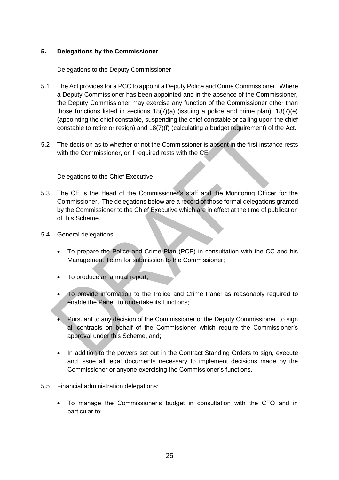#### **5. Delegations by the Commissioner**

#### Delegations to the Deputy Commissioner

- 5.1 The Act provides for a PCC to appoint a Deputy Police and Crime Commissioner. Where a Deputy Commissioner has been appointed and in the absence of the Commissioner, the Deputy Commissioner may exercise any function of the Commissioner other than those functions listed in sections  $18(7)(a)$  (issuing a police and crime plan),  $18(7)(e)$ (appointing the chief constable, suspending the chief constable or calling upon the chief constable to retire or resign) and 18(7)(f) (calculating a budget requirement) of the Act.
- 5.2 The decision as to whether or not the Commissioner is absent in the first instance rests with the Commissioner, or if required rests with the CE.

#### Delegations to the Chief Executive

- 5.3 The CE is the Head of the Commissioner's staff and the Monitoring Officer for the Commissioner. The delegations below are a record of those formal delegations granted by the Commissioner to the Chief Executive which are in effect at the time of publication of this Scheme.
- 5.4 General delegations:
	- To prepare the Police and Crime Plan (PCP) in consultation with the CC and his Management Team for submission to the Commissioner;
	- To produce an annual report;
	- To provide information to the Police and Crime Panel as reasonably required to enable the Panel to undertake its functions;
	- Pursuant to any decision of the Commissioner or the Deputy Commissioner, to sign all contracts on behalf of the Commissioner which require the Commissioner's approval under this Scheme, and;
	- In addition to the powers set out in the Contract Standing Orders to sign, execute and issue all legal documents necessary to implement decisions made by the Commissioner or anyone exercising the Commissioner's functions.
- 5.5 Financial administration delegations:
	- To manage the Commissioner's budget in consultation with the CFO and in particular to: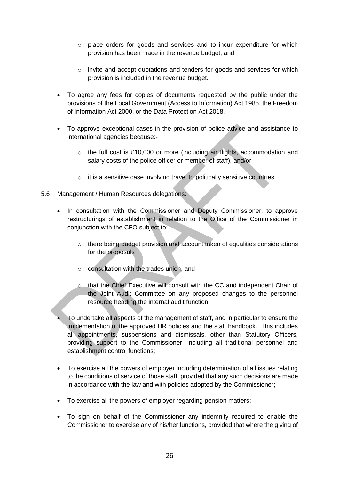- $\circ$  place orders for goods and services and to incur expenditure for which provision has been made in the revenue budget, and
- o invite and accept quotations and tenders for goods and services for which provision is included in the revenue budget.
- To agree any fees for copies of documents requested by the public under the provisions of the Local Government (Access to Information) Act 1985, the Freedom of Information Act 2000, or the Data Protection Act 2018.
- To approve exceptional cases in the provision of police advice and assistance to international agencies because:-
	- $\circ$  the full cost is £10,000 or more (including air flights, accommodation and salary costs of the police officer or member of staff), and/or
	- o it is a sensitive case involving travel to politically sensitive countries.
- 5.6 Management / Human Resources delegations:
	- In consultation with the Commissioner and Deputy Commissioner, to approve restructurings of establishment in relation to the Office of the Commissioner in conjunction with the CFO subject to:
		- o there being budget provision and account taken of equalities considerations for the proposals
		- o consultation with the trades union, and
		- o that the Chief Executive will consult with the CC and independent Chair of the Joint Audit Committee on any proposed changes to the personnel resource heading the internal audit function.
	- To undertake all aspects of the management of staff, and in particular to ensure the implementation of the approved HR policies and the staff handbook. This includes all appointments, suspensions and dismissals, other than Statutory Officers, providing support to the Commissioner, including all traditional personnel and establishment control functions;
	- To exercise all the powers of employer including determination of all issues relating to the conditions of service of those staff, provided that any such decisions are made in accordance with the law and with policies adopted by the Commissioner;
	- To exercise all the powers of employer regarding pension matters;
	- To sign on behalf of the Commissioner any indemnity required to enable the Commissioner to exercise any of his/her functions, provided that where the giving of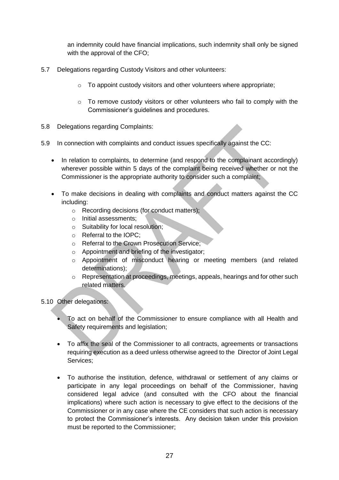an indemnity could have financial implications, such indemnity shall only be signed with the approval of the CFO;

- 5.7 Delegations regarding Custody Visitors and other volunteers:
	- o To appoint custody visitors and other volunteers where appropriate;
	- o To remove custody visitors or other volunteers who fail to comply with the Commissioner's guidelines and procedures.
- 5.8 Delegations regarding Complaints:
- 5.9 In connection with complaints and conduct issues specifically against the CC:
	- In relation to complaints, to determine (and respond to the complainant accordingly) wherever possible within 5 days of the complaint being received whether or not the Commissioner is the appropriate authority to consider such a complaint;
	- To make decisions in dealing with complaints and conduct matters against the CC including:
		- o Recording decisions (for conduct matters);
		- o Initial assessments;
		- o Suitability for local resolution;
		- o Referral to the IOPC;
		- o Referral to the Crown Prosecution Service;
		- o Appointment and briefing of the investigator;
		- o Appointment of misconduct hearing or meeting members (and related determinations);
		- o Representation at proceedings, meetings, appeals, hearings and for other such related matters.

5.10 Other delegations:

- To act on behalf of the Commissioner to ensure compliance with all Health and Safety requirements and legislation;
- To affix the seal of the Commissioner to all contracts, agreements or transactions requiring execution as a deed unless otherwise agreed to the Director of Joint Legal Services;
- To authorise the institution, defence, withdrawal or settlement of any claims or participate in any legal proceedings on behalf of the Commissioner, having considered legal advice (and consulted with the CFO about the financial implications) where such action is necessary to give effect to the decisions of the Commissioner or in any case where the CE considers that such action is necessary to protect the Commissioner's interests. Any decision taken under this provision must be reported to the Commissioner;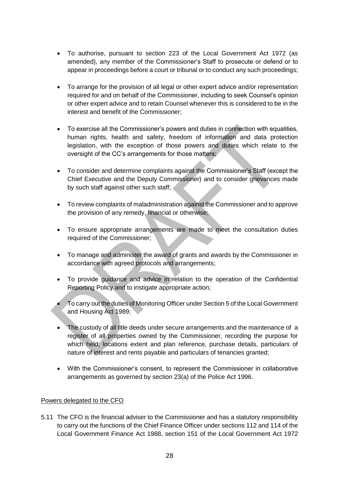- To authorise, pursuant to section 223 of the Local Government Act 1972 (as amended), any member of the Commissioner's Staff to prosecute or defend or to appear in proceedings before a court or tribunal or to conduct any such proceedings;
- To arrange for the provision of all legal or other expert advice and/or representation required for and on behalf of the Commissioner, including to seek Counsel's opinion or other expert advice and to retain Counsel whenever this is considered to be in the interest and benefit of the Commissioner;
- To exercise all the Commissioner's powers and duties in connection with equalities, human rights, health and safety, freedom of information and data protection legislation, with the exception of those powers and duties which relate to the oversight of the CC's arrangements for those matters;
- To consider and determine complaints against the Commissioner's Staff (except the Chief Executive and the Deputy Commissioner) and to consider grievances made by such staff against other such staff;
- To review complaints of maladministration against the Commissioner and to approve the provision of any remedy, financial or otherwise;
- To ensure appropriate arrangements are made to meet the consultation duties required of the Commissioner;
- To manage and administer the award of grants and awards by the Commissioner in accordance with agreed protocols and arrangements;
- To provide guidance and advice in relation to the operation of the Confidential Reporting Policy and to instigate appropriate action;
- To carry out the duties of Monitoring Officer under Section 5 of the Local Government and Housing Act 1989;
- The custody of all title deeds under secure arrangements and the maintenance of a register of all properties owned by the Commissioner, recording the purpose for which held, locations extent and plan reference, purchase details, particulars of nature of interest and rents payable and particulars of tenancies granted;
- With the Commissioner's consent, to represent the Commissioner in collaborative arrangements as governed by section 23(a) of the Police Act 1996.

#### Powers delegated to the CFO

5.11 The CFO is the financial adviser to the Commissioner and has a statutory responsibility to carry out the functions of the Chief Finance Officer under sections 112 and 114 of the Local Government Finance Act 1988, section 151 of the Local Government Act 1972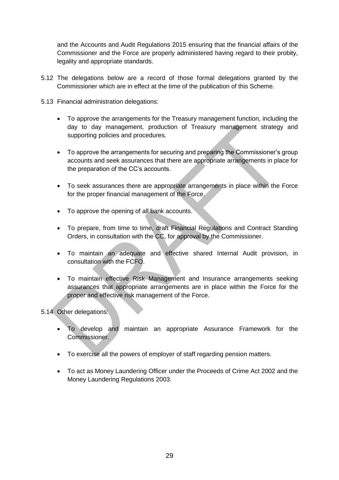and the Accounts and Audit Regulations 2015 ensuring that the financial affairs of the Commissioner and the Force are properly administered having regard to their probity, legality and appropriate standards.

- 5.12 The delegations below are a record of those formal delegations granted by the Commissioner which are in effect at the time of the publication of this Scheme.
- 5.13 Financial administration delegations:
	- To approve the arrangements for the Treasury management function, including the day to day management, production of Treasury management strategy and supporting policies and procedures.
	- To approve the arrangements for securing and preparing the Commissioner's group accounts and seek assurances that there are appropriate arrangements in place for the preparation of the CC's accounts.
	- To seek assurances there are appropriate arrangements in place within the Force for the proper financial management of the Force.
	- To approve the opening of all bank accounts.
	- To prepare, from time to time, draft Financial Regulations and Contract Standing Orders, in consultation with the CC, for approval by the Commissioner.
	- To maintain an adequate and effective shared Internal Audit provision, in consultation with the FCFO.
	- To maintain effective Risk Management and Insurance arrangements seeking assurances that appropriate arrangements are in place within the Force for the proper and effective risk management of the Force.

#### 5.14 Other delegations:

- To develop and maintain an appropriate Assurance Framework for the Commissioner.
- To exercise all the powers of employer of staff regarding pension matters.
- To act as Money Laundering Officer under the Proceeds of Crime Act 2002 and the Money Laundering Regulations 2003.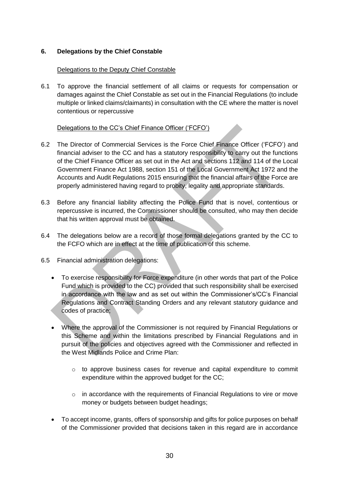#### **6. Delegations by the Chief Constable**

#### Delegations to the Deputy Chief Constable

6.1 To approve the financial settlement of all claims or requests for compensation or damages against the Chief Constable as set out in the Financial Regulations (to include multiple or linked claims/claimants) in consultation with the CE where the matter is novel contentious or repercussive

#### Delegations to the CC's Chief Finance Officer ('FCFO')

- 6.2 The Director of Commercial Services is the Force Chief Finance Officer ('FCFO') and financial adviser to the CC and has a statutory responsibility to carry out the functions of the Chief Finance Officer as set out in the Act and sections 112 and 114 of the Local Government Finance Act 1988, section 151 of the Local Government Act 1972 and the Accounts and Audit Regulations 2015 ensuring that the financial affairs of the Force are properly administered having regard to probity, legality and appropriate standards.
- 6.3 Before any financial liability affecting the Police Fund that is novel, contentious or repercussive is incurred, the Commissioner should be consulted, who may then decide that his written approval must be obtained.
- 6.4 The delegations below are a record of those formal delegations granted by the CC to the FCFO which are in effect at the time of publication of this scheme.
- 6.5 Financial administration delegations:
	- To exercise responsibility for Force expenditure (in other words that part of the Police Fund which is provided to the CC) provided that such responsibility shall be exercised in accordance with the law and as set out within the Commissioner's/CC's Financial Regulations and Contract Standing Orders and any relevant statutory guidance and codes of practice;
	- Where the approval of the Commissioner is not required by Financial Regulations or this Scheme and within the limitations prescribed by Financial Regulations and in pursuit of the policies and objectives agreed with the Commissioner and reflected in the West Midlands Police and Crime Plan:
		- $\circ$  to approve business cases for revenue and capital expenditure to commit expenditure within the approved budget for the CC;
		- $\circ$  in accordance with the requirements of Financial Regulations to vire or move money or budgets between budget headings;
	- To accept income, grants, offers of sponsorship and gifts for police purposes on behalf of the Commissioner provided that decisions taken in this regard are in accordance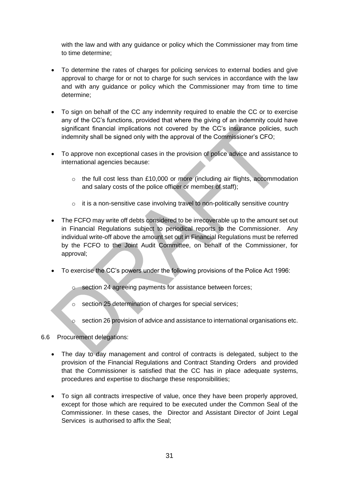with the law and with any guidance or policy which the Commissioner may from time to time determine;

- To determine the rates of charges for policing services to external bodies and give approval to charge for or not to charge for such services in accordance with the law and with any guidance or policy which the Commissioner may from time to time determine;
- To sign on behalf of the CC any indemnity required to enable the CC or to exercise any of the CC's functions, provided that where the giving of an indemnity could have significant financial implications not covered by the CC's insurance policies, such indemnity shall be signed only with the approval of the Commissioner's CFO;
- To approve non exceptional cases in the provision of police advice and assistance to international agencies because:
	- o the full cost less than £10,000 or more (including air flights, accommodation and salary costs of the police officer or member of staff);
	- $\circ$  it is a non-sensitive case involving travel to non-politically sensitive country
- The FCFO may write off debts considered to be irrecoverable up to the amount set out in Financial Regulations subject to periodical reports to the Commissioner. Any individual write-off above the amount set out in Financial Regulations must be referred by the FCFO to the Joint Audit Committee, on behalf of the Commissioner, for approval;
- To exercise the CC's powers under the following provisions of the Police Act 1996:
	- o section 24 agreeing payments for assistance between forces;
	- o section 25 determination of charges for special services;
	- o section 26 provision of advice and assistance to international organisations etc.

#### 6.6 Procurement delegations:

- The day to day management and control of contracts is delegated, subject to the provision of the Financial Regulations and Contract Standing Orders and provided that the Commissioner is satisfied that the CC has in place adequate systems, procedures and expertise to discharge these responsibilities;
- To sign all contracts irrespective of value, once they have been properly approved, except for those which are required to be executed under the Common Seal of the Commissioner. In these cases, the Director and Assistant Director of Joint Legal Services is authorised to affix the Seal;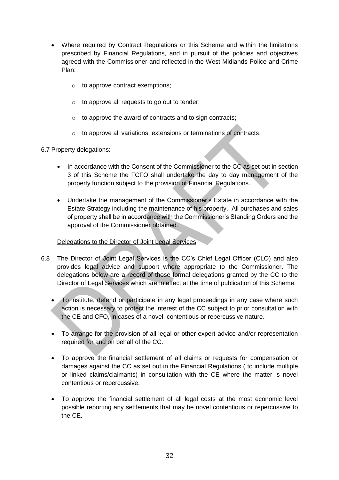- Where required by Contract Regulations or this Scheme and within the limitations prescribed by Financial Regulations, and in pursuit of the policies and objectives agreed with the Commissioner and reflected in the West Midlands Police and Crime Plan:
	- $\circ$  to approve contract exemptions;
	- o to approve all requests to go out to tender;
	- o to approve the award of contracts and to sign contracts;
	- o to approve all variations, extensions or terminations of contracts.

#### 6.7 Property delegations:

- In accordance with the Consent of the Commissioner to the CC as set out in section 3 of this Scheme the FCFO shall undertake the day to day management of the property function subject to the provision of Financial Regulations.
- Undertake the management of the Commissioner's Estate in accordance with the Estate Strategy including the maintenance of his property. All purchases and sales of property shall be in accordance with the Commissioner's Standing Orders and the approval of the Commissioner obtained.

#### Delegations to the Director of Joint Legal Services

- 6.8 The Director of Joint Legal Services is the CC's Chief Legal Officer (CLO) and also provides legal advice and support where appropriate to the Commissioner. The delegations below are a record of those formal delegations granted by the CC to the Director of Legal Services which are in effect at the time of publication of this Scheme.
	- To institute, defend or participate in any legal proceedings in any case where such action is necessary to protect the interest of the CC subject to prior consultation with the CE and CFO, in cases of a novel, contentious or repercussive nature.
	- To arrange for the provision of all legal or other expert advice and/or representation required for and on behalf of the CC.
	- To approve the financial settlement of all claims or requests for compensation or damages against the CC as set out in the Financial Regulations ( to include multiple or linked claims/claimants) in consultation with the CE where the matter is novel contentious or repercussive.
	- To approve the financial settlement of all legal costs at the most economic level possible reporting any settlements that may be novel contentious or repercussive to the CE.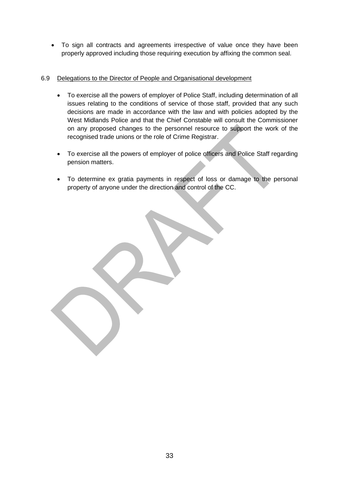To sign all contracts and agreements irrespective of value once they have been properly approved including those requiring execution by affixing the common seal.

#### 6.9 Delegations to the Director of People and Organisational development

- To exercise all the powers of employer of Police Staff, including determination of all issues relating to the conditions of service of those staff, provided that any such decisions are made in accordance with the law and with policies adopted by the West Midlands Police and that the Chief Constable will consult the Commissioner on any proposed changes to the personnel resource to support the work of the recognised trade unions or the role of Crime Registrar.
- To exercise all the powers of employer of police officers and Police Staff regarding pension matters.
- To determine ex gratia payments in respect of loss or damage to the personal property of anyone under the direction and control of the CC.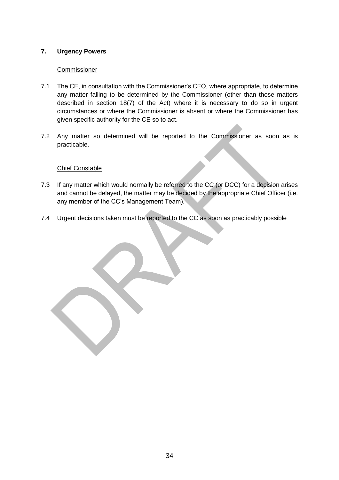#### **7. Urgency Powers**

#### Commissioner

- 7.1 The CE, in consultation with the Commissioner's CFO, where appropriate, to determine any matter falling to be determined by the Commissioner (other than those matters described in section 18(7) of the Act) where it is necessary to do so in urgent circumstances or where the Commissioner is absent or where the Commissioner has given specific authority for the CE so to act.
- 7.2 Any matter so determined will be reported to the Commissioner as soon as is practicable.

#### Chief Constable

- 7.3 If any matter which would normally be referred to the CC (or DCC) for a decision arises and cannot be delayed, the matter may be decided by the appropriate Chief Officer (i.e. any member of the CC's Management Team).
- 7.4 Urgent decisions taken must be reported to the CC as soon as practicably possible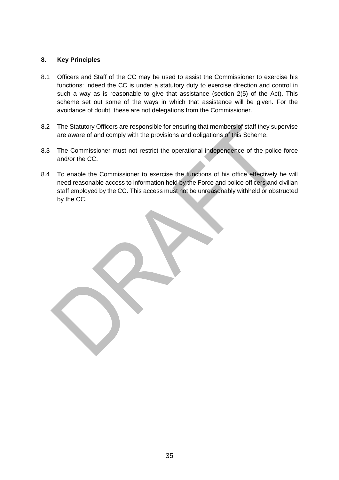#### **8. Key Principles**

- 8.1 Officers and Staff of the CC may be used to assist the Commissioner to exercise his functions: indeed the CC is under a statutory duty to exercise direction and control in such a way as is reasonable to give that assistance (section 2(5) of the Act). This scheme set out some of the ways in which that assistance will be given. For the avoidance of doubt, these are not delegations from the Commissioner.
- 8.2 The Statutory Officers are responsible for ensuring that members of staff they supervise are aware of and comply with the provisions and obligations of this Scheme.
- 8.3 The Commissioner must not restrict the operational independence of the police force and/or the CC.
- 8.4 To enable the Commissioner to exercise the functions of his office effectively he will need reasonable access to information held by the Force and police officers and civilian staff employed by the CC. This access must not be unreasonably withheld or obstructed by the CC.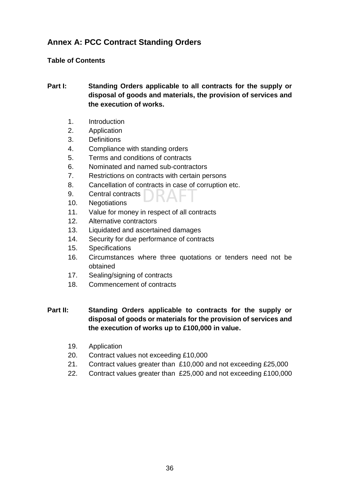# **Annex A: PCC Contract Standing Orders**

#### **Table of Contents**

#### **Part I: Standing Orders applicable to all contracts for the supply or disposal of goods and materials, the provision of services and the execution of works.**

- 1. Introduction
- 2. Application
- 3. Definitions
- 4. Compliance with standing orders
- 5. Terms and conditions of contracts
- 6. Nominated and named sub-contractors
- 7. Restrictions on contracts with certain persons
- 8. Cancellation of contracts in case of corruption etc.
- 9. Central contracts
- 10. Negotiations
- 11. Value for money in respect of all contracts
- 12. Alternative contractors
- 13. Liquidated and ascertained damages
- 14. Security for due performance of contracts
- 15. Specifications
- 16. Circumstances where three quotations or tenders need not be obtained
- 17. Sealing/signing of contracts
- 18. Commencement of contracts

#### **Part II: Standing Orders applicable to contracts for the supply or disposal of goods or materials for the provision of services and the execution of works up to £100,000 in value.**

- 19. Application
- 20. Contract values not exceeding £10,000
- 21. Contract values greater than £10,000 and not exceeding £25,000
- 22. Contract values greater than £25,000 and not exceeding £100,000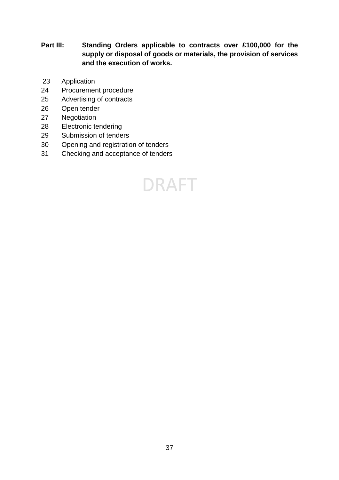**Part III: Standing Orders applicable to contracts over £100,000 for the supply or disposal of goods or materials, the provision of services and the execution of works.**

- Application
- Procurement procedure
- Advertising of contracts
- Open tender
- Negotiation
- Electronic tendering
- Submission of tenders
- Opening and registration of tenders
- Checking and acceptance of tenders

# **DRAFT**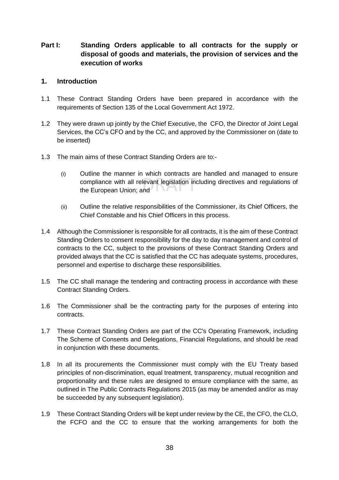#### **Part I: Standing Orders applicable to all contracts for the supply or disposal of goods and materials, the provision of services and the execution of works**

#### **1. Introduction**

- 1.1 These Contract Standing Orders have been prepared in accordance with the requirements of Section 135 of the Local Government Act 1972.
- 1.2 They were drawn up jointly by the Chief Executive, the CFO, the Director of Joint Legal Services, the CC's CFO and by the CC, and approved by the Commissioner on (date to be inserted)
- 1.3 The main aims of these Contract Standing Orders are to:-
	- (i) Outline the manner in which contracts are handled and managed to ensure compliance with all relevant legislation including directives and regulations of the European Union; and
	- (ii) Outline the relative responsibilities of the Commissioner, its Chief Officers, the Chief Constable and his Chief Officers in this process.
- 1.4 Although the Commissioner is responsible for all contracts, it is the aim of these Contract Standing Orders to consent responsibility for the day to day management and control of contracts to the CC, subject to the provisions of these Contract Standing Orders and provided always that the CC is satisfied that the CC has adequate systems, procedures, personnel and expertise to discharge these responsibilities.
- 1.5 The CC shall manage the tendering and contracting process in accordance with these Contract Standing Orders.
- 1.6 The Commissioner shall be the contracting party for the purposes of entering into contracts.
- 1.7 These Contract Standing Orders are part of the CC's Operating Framework, including The Scheme of Consents and Delegations, Financial Regulations, and should be read in conjunction with these documents.
- 1.8 In all its procurements the Commissioner must comply with the EU Treaty based principles of non-discrimination, equal treatment, transparency, mutual recognition and proportionality and these rules are designed to ensure compliance with the same, as outlined in The Public Contracts Regulations 2015 (as may be amended and/or as may be succeeded by any subsequent legislation).
- 1.9 These Contract Standing Orders will be kept under review by the CE, the CFO, the CLO, the FCFO and the CC to ensure that the working arrangements for both the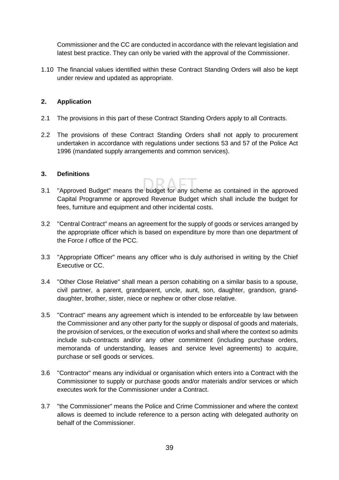Commissioner and the CC are conducted in accordance with the relevant legislation and latest best practice. They can only be varied with the approval of the Commissioner.

1.10 The financial values identified within these Contract Standing Orders will also be kept under review and updated as appropriate.

#### **2. Application**

- 2.1 The provisions in this part of these Contract Standing Orders apply to all Contracts.
- 2.2 The provisions of these Contract Standing Orders shall not apply to procurement undertaken in accordance with regulations under sections 53 and 57 of the Police Act 1996 (mandated supply arrangements and common services).

#### **3. Definitions**

- 3.1 "Approved Budget" means the budget for any scheme as contained in the approved Capital Programme or approved Revenue Budget which shall include the budget for fees, furniture and equipment and other incidental costs.
- 3.2 "Central Contract" means an agreement for the supply of goods or services arranged by the appropriate officer which is based on expenditure by more than one department of the Force *I* office of the PCC.
- 3.3 "Appropriate Officer" means any officer who is duly authorised in writing by the Chief Executive or CC.
- 3.4 "Other Close Relative" shall mean a person cohabiting on a similar basis to a spouse, civil partner, a parent, grandparent, uncle, aunt, son, daughter, grandson, granddaughter, brother, sister, niece or nephew or other close relative.
- 3.5 "Contract" means any agreement which is intended to be enforceable by law between the Commissioner and any other party for the supply or disposal of goods and materials, the provision of services, or the execution of works and shall where the context so admits include sub-contracts and/or any other commitment (including purchase orders, memoranda of understanding, leases and service level agreements) to acquire, purchase or sell goods or services.
- 3.6 "Contractor" means any individual or organisation which enters into a Contract with the Commissioner to supply or purchase goods and/or materials and/or services or which executes work for the Commissioner under a Contract.
- 3.7 "the Commissioner" means the Police and Crime Commissioner and where the context allows is deemed to include reference to a person acting with delegated authority on behalf of the Commissioner.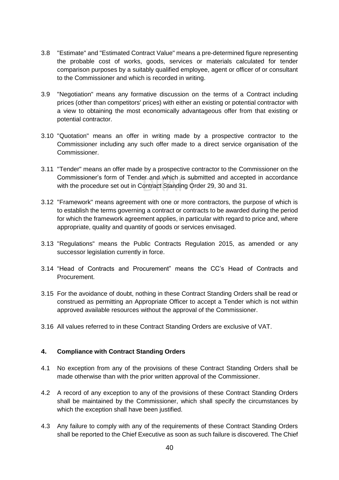- 3.8 "Estimate" and "Estimated Contract Value" means a pre-determined figure representing the probable cost of works, goods, services or materials calculated for tender comparison purposes by a suitably qualified employee, agent or officer of or consultant to the Commissioner and which is recorded in writing.
- 3.9 "Negotiation" means any formative discussion on the terms of a Contract including prices (other than competitors' prices) with either an existing or potential contractor with a view to obtaining the most economically advantageous offer from that existing or potential contractor.
- 3.10 "Quotation" means an offer in writing made by a prospective contractor to the Commissioner including any such offer made to a direct service organisation of the Commissioner.
- 3.11 "Tender" means an offer made by a prospective contractor to the Commissioner on the Commissioner's form of Tender and which is submitted and accepted in accordance with the procedure set out in Contract Standing Order 29, 30 and 31.
- 3.12 "Framework" means agreement with one or more contractors, the purpose of which is to establish the terms governing a contract or contracts to be awarded during the period for which the framework agreement applies, in particular with regard to price and, where appropriate, quality and quantity of goods or services envisaged.
- 3.13 "Regulations" means the Public Contracts Regulation 2015, as amended or any successor legislation currently in force.
- 3.14 "Head of Contracts and Procurement" means the CC's Head of Contracts and Procurement.
- 3.15 For the avoidance of doubt, nothing in these Contract Standing Orders shall be read or construed as permitting an Appropriate Officer to accept a Tender which is not within approved available resources without the approval of the Commissioner.
- 3.16 All values referred to in these Contract Standing Orders are exclusive of VAT.

#### **4. Compliance with Contract Standing Orders**

- 4.1 No exception from any of the provisions of these Contract Standing Orders shall be made otherwise than with the prior written approval of the Commissioner.
- 4.2 A record of any exception to any of the provisions of these Contract Standing Orders shall be maintained by the Commissioner, which shall specify the circumstances by which the exception shall have been justified.
- 4.3 Any failure to comply with any of the requirements of these Contract Standing Orders shall be reported to the Chief Executive as soon as such failure is discovered. The Chief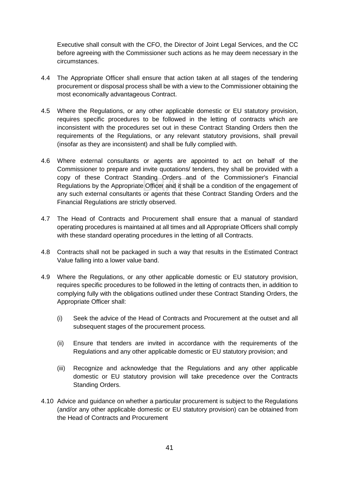Executive shall consult with the CFO, the Director of Joint Legal Services, and the CC before agreeing with the Commissioner such actions as he may deem necessary in the circumstances.

- 4.4 The Appropriate Officer shall ensure that action taken at all stages of the tendering procurement or disposal process shall be with a view to the Commissioner obtaining the most economically advantageous Contract.
- 4.5 Where the Regulations, or any other applicable domestic or EU statutory provision, requires specific procedures to be followed in the letting of contracts which are inconsistent with the procedures set out in these Contract Standing Orders then the requirements of the Regulations, or any relevant statutory provisions, shall prevail (insofar as they are inconsistent) and shall be fully complied with.
- 4.6 Where external consultants or agents are appointed to act on behalf of the Commissioner to prepare and invite quotations/ tenders, they shall be provided with a copy of these Contract Standing Orders and of the Commissioner's Financial Regulations by the Appropriate Officer and it shall be a condition of the engagement of any such external consultants or agents that these Contract Standing Orders and the Financial Regulations are strictly observed.
- 4.7 The Head of Contracts and Procurement shall ensure that a manual of standard operating procedures is maintained at all times and all Appropriate Officers shall comply with these standard operating procedures in the letting of all Contracts.
- 4.8 Contracts shall not be packaged in such a way that results in the Estimated Contract Value falling into a lower value band.
- 4.9 Where the Regulations, or any other applicable domestic or EU statutory provision, requires specific procedures to be followed in the letting of contracts then, in addition to complying fully with the obligations outlined under these Contract Standing Orders, the Appropriate Officer shall:
	- (i) Seek the advice of the Head of Contracts and Procurement at the outset and all subsequent stages of the procurement process.
	- (ii) Ensure that tenders are invited in accordance with the requirements of the Regulations and any other applicable domestic or EU statutory provision; and
	- (iii) Recognize and acknowledge that the Regulations and any other applicable domestic or EU statutory provision will take precedence over the Contracts Standing Orders.
- 4.10 Advice and guidance on whether a particular procurement is subject to the Regulations (and/or any other applicable domestic or EU statutory provision) can be obtained from the Head of Contracts and Procurement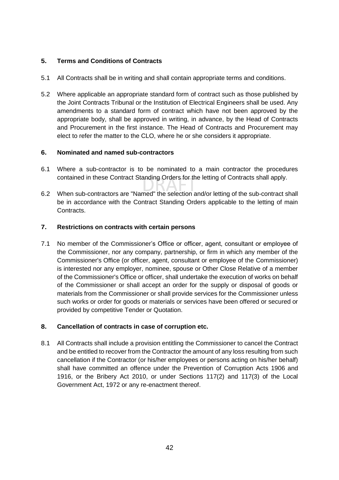#### **5. Terms and Conditions of Contracts**

- 5.1 All Contracts shall be in writing and shall contain appropriate terms and conditions.
- 5.2 Where applicable an appropriate standard form of contract such as those published by the Joint Contracts Tribunal or the Institution of Electrical Engineers shall be used. Any amendments to a standard form of contract which have not been approved by the appropriate body, shall be approved in writing, in advance, by the Head of Contracts and Procurement in the first instance. The Head of Contracts and Procurement may elect to refer the matter to the CLO, where he or she considers it appropriate.

#### **6. Nominated and named sub-contractors**

- 6.1 Where a sub-contractor is to be nominated to a main contractor the procedures contained in these Contract Standing Orders for the letting of Contracts shall apply.
- 6.2 When sub-contractors are "Named" the selection and/or letting of the sub-contract shall be in accordance with the Contract Standing Orders applicable to the letting of main Contracts.

#### **7. Restrictions on contracts with certain persons**

7.1 No member of the Commissioner's Office or officer, agent, consultant or employee of the Commissioner, nor any company, partnership, or firm in which any member of the Commissioner's Office (or officer, agent, consultant or employee of the Commissioner) is interested nor any employer, nominee, spouse or Other Close Relative of a member of the Commissioner's Office or officer, shall undertake the execution of works on behalf of the Commissioner or shall accept an order for the supply or disposal of goods or materials from the Commissioner or shall provide services for the Commissioner unless such works or order for goods or materials or services have been offered or secured or provided by competitive Tender or Quotation.

#### **8. Cancellation of contracts in case of corruption etc.**

8.1 All Contracts shall include a provision entitling the Commissioner to cancel the Contract and be entitled to recover from the Contractor the amount of any loss resulting from such cancellation if the Contractor (or his/her employees or persons acting on his/her behalf) shall have committed an offence under the Prevention of Corruption Acts 1906 and 1916, or the Bribery Act 2010, or under Sections 117(2) and 117(3) of the Local Government Act, 1972 or any re-enactment thereof.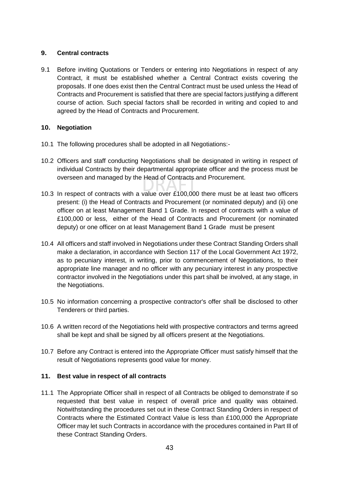#### **9. Central contracts**

9.1 Before inviting Quotations or Tenders or entering into Negotiations in respect of any Contract, it must be established whether a Central Contract exists covering the proposals. If one does exist then the Central Contract must be used unless the Head of Contracts and Procurement is satisfied that there are special factors justifying a different course of action. Such special factors shall be recorded in writing and copied to and agreed by the Head of Contracts and Procurement.

#### **10. Negotiation**

- 10.1 The following procedures shall be adopted in all Negotiations:-
- 10.2 Officers and staff conducting Negotiations shall be designated in writing in respect of individual Contracts by their departmental appropriate officer and the process must be overseen and managed by the Head of Contracts and Procurement.
- 10.3 In respect of contracts with a value over £100,000 there must be at least two officers present: (i) the Head of Contracts and Procurement (or nominated deputy) and (ii) one officer on at least Management Band 1 Grade. In respect of contracts with a value of £100,000 or less, either of the Head of Contracts and Procurement (or nominated deputy) or one officer on at least Management Band 1 Grade must be present
- 10.4 All officers and staff involved in Negotiations under these Contract Standing Orders shall make a declaration, in accordance with Section 117 of the Local Government Act 1972, as to pecuniary interest, in writing, prior to commencement of Negotiations, to their appropriate line manager and no officer with any pecuniary interest in any prospective contractor involved in the Negotiations under this part shall be involved, at any stage, in the Negotiations.
- 10.5 No information concerning a prospective contractor's offer shall be disclosed to other Tenderers or third parties.
- 10.6 A written record of the Negotiations held with prospective contractors and terms agreed shall be kept and shall be signed by all officers present at the Negotiations.
- 10.7 Before any Contract is entered into the Appropriate Officer must satisfy himself that the result of Negotiations represents good value for money.

#### **11. Best value in respect of all contracts**

11.1 The Appropriate Officer shall in respect of all Contracts be obliged to demonstrate if so requested that best value in respect of overall price and quality was obtained. Notwithstanding the procedures set out in these Contract Standing Orders in respect of Contracts where the Estimated Contract Value is less than £100,000 the Appropriate Officer may let such Contracts in accordance with the procedures contained in Part Ill of these Contract Standing Orders.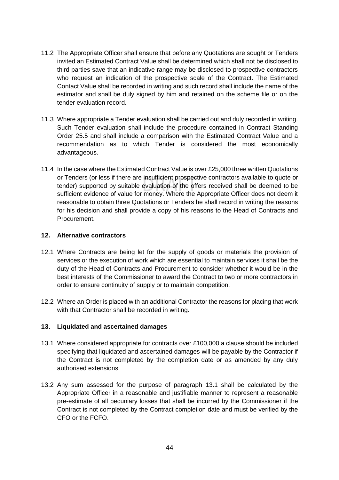- 11.2 The Appropriate Officer shall ensure that before any Quotations are sought or Tenders invited an Estimated Contract Value shall be determined which shall not be disclosed to third parties save that an indicative range may be disclosed to prospective contractors who request an indication of the prospective scale of the Contract. The Estimated Contact Value shall be recorded in writing and such record shall include the name of the estimator and shall be duly signed by him and retained on the scheme file or on the tender evaluation record.
- 11.3 Where appropriate a Tender evaluation shall be carried out and duly recorded in writing. Such Tender evaluation shall include the procedure contained in Contract Standing Order 25.5 and shall include a comparison with the Estimated Contract Value and a recommendation as to which Tender is considered the most economically advantageous.
- 11.4 In the case where the Estimated Contract Value is over £25,000 three written Quotations or Tenders (or less if there are insufficient prospective contractors available to quote or tender) supported by suitable evaluation of the offers received shall be deemed to be sufficient evidence of value for money. Where the Appropriate Officer does not deem it reasonable to obtain three Quotations or Tenders he shall record in writing the reasons for his decision and shall provide a copy of his reasons to the Head of Contracts and Procurement.

#### **12. Alternative contractors**

- 12.1 Where Contracts are being let for the supply of goods or materials the provision of services or the execution of work which are essential to maintain services it shall be the duty of the Head of Contracts and Procurement to consider whether it would be in the best interests of the Commissioner to award the Contract to two or more contractors in order to ensure continuity of supply or to maintain competition.
- 12.2 Where an Order is placed with an additional Contractor the reasons for placing that work with that Contractor shall be recorded in writing.

#### **13. Liquidated and ascertained damages**

- 13.1 Where considered appropriate for contracts over £100,000 a clause should be included specifying that liquidated and ascertained damages will be payable by the Contractor if the Contract is not completed by the completion date or as amended by any duly authorised extensions.
- 13.2 Any sum assessed for the purpose of paragraph 13.1 shall be calculated by the Appropriate Officer in a reasonable and justifiable manner to represent a reasonable pre-estimate of all pecuniary losses that shall be incurred by the Commissioner if the Contract is not completed by the Contract completion date and must be verified by the CFO or the FCFO.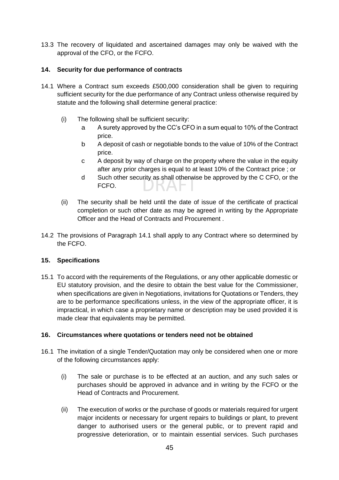13.3 The recovery of liquidated and ascertained damages may only be waived with the approval of the CFO, or the FCFO.

#### **14. Security for due performance of contracts**

- 14.1 Where a Contract sum exceeds £500,000 consideration shall be given to requiring sufficient security for the due performance of any Contract unless otherwise required by statute and the following shall determine general practice:
	- (i) The following shall be sufficient security:
		- a A surety approved by the CC's CFO in a sum equal to 10% of the Contract price.
		- b A deposit of cash or negotiable bonds to the value of 10% of the Contract price.
		- c A deposit by way of charge on the property where the value in the equity after any prior charges is equal to at least 10% of the Contract price ; or
		- d Such other security as shall otherwise be approved by the C CFO, or the FCFO.
	- (ii) The security shall be held until the date of issue of the certificate of practical completion or such other date as may be agreed in writing by the Appropriate Officer and the Head of Contracts and Procurement .
- 14.2 The provisions of Paragraph 14.1 shall apply to any Contract where so determined by the FCFO.

#### **15. Specifications**

15.1 To accord with the requirements of the Regulations, or any other applicable domestic or EU statutory provision, and the desire to obtain the best value for the Commissioner, when specifications are given in Negotiations, invitations for Quotations or Tenders, they are to be performance specifications unless, in the view of the appropriate officer, it is impractical, in which case a proprietary name or description may be used provided it is made clear that equivalents may be permitted.

#### **16. Circumstances where quotations or tenders need not be obtained**

- 16.1 The invitation of a single Tender/Quotation may only be considered when one or more of the following circumstances apply:
	- (i) The sale or purchase is to be effected at an auction, and any such sales or purchases should be approved in advance and in writing by the FCFO or the Head of Contracts and Procurement.
	- (ii) The execution of works or the purchase of goods or materials required for urgent major incidents or necessary for urgent repairs to buildings or plant, to prevent danger to authorised users or the general public, or to prevent rapid and progressive deterioration, or to maintain essential services. Such purchases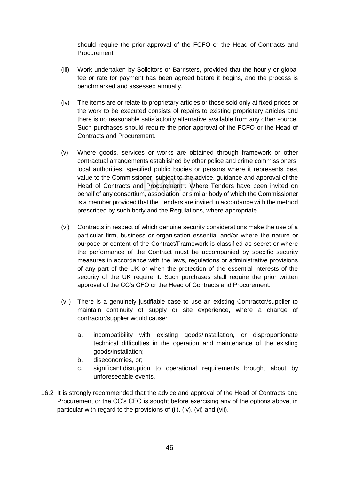should require the prior approval of the FCFO or the Head of Contracts and Procurement.

- (iii) Work undertaken by Solicitors or Barristers, provided that the hourly or global fee or rate for payment has been agreed before it begins, and the process is benchmarked and assessed annually.
- (iv) The items are or relate to proprietary articles or those sold only at fixed prices or the work to be executed consists of repairs to existing proprietary articles and there is no reasonable satisfactorily alternative available from any other source. Such purchases should require the prior approval of the FCFO or the Head of Contracts and Procurement.
- (v) Where goods, services or works are obtained through framework or other contractual arrangements established by other police and crime commissioners, local authorities, specified public bodies or persons where it represents best value to the Commissioner, subject to the advice, guidance and approval of the Head of Contracts and Procurement . Where Tenders have been invited on behalf of any consortium, association, or similar body of which the Commissioner is a member provided that the Tenders are invited in accordance with the method prescribed by such body and the Regulations, where appropriate.
- (vi) Contracts in respect of which genuine security considerations make the use of a particular firm, business or organisation essential and/or where the nature or purpose or content of the Contract/Framework is classified as secret or where the performance of the Contract must be accompanied by specific security measures in accordance with the laws, regulations or administrative provisions of any part of the UK or when the protection of the essential interests of the security of the UK require it. Such purchases shall require the prior written approval of the CC's CFO or the Head of Contracts and Procurement.
- (vii) There is a genuinely justifiable case to use an existing Contractor/supplier to maintain continuity of supply or site experience, where a change of contractor/supplier would cause:
	- a. incompatibility with existing goods/installation, or disproportionate technical difficulties in the operation and maintenance of the existing goods/installation;
	- b. diseconomies, or;
	- c. significant disruption to operational requirements brought about by unforeseeable events.
- 16.2 It is strongly recommended that the advice and approval of the Head of Contracts and Procurement or the CC's CFO is sought before exercising any of the options above, in particular with regard to the provisions of (ii), (iv), (vi) and (vii).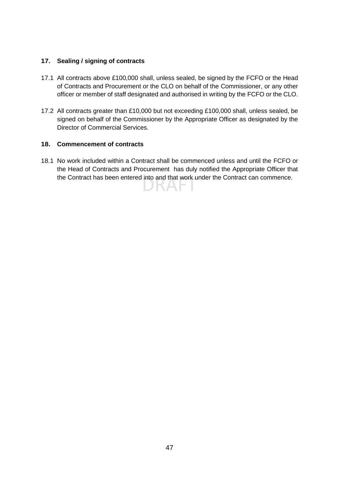#### **17. Sealing / signing of contracts**

- 17.1 All contracts above £100,000 shall, unless sealed, be signed by the FCFO or the Head of Contracts and Procurement or the CLO on behalf of the Commissioner, or any other officer or member of staff designated and authorised in writing by the FCFO or the CLO.
- 17.2 All contracts greater than £10,000 but not exceeding £100,000 shall, unless sealed, be signed on behalf of the Commissioner by the Appropriate Officer as designated by the Director of Commercial Services.

#### **18. Commencement of contracts**

18.1 No work included within a Contract shall be commenced unless and until the FCFO or the Head of Contracts and Procurement has duly notified the Appropriate Officer that the Contract has been entered into and that work under the Contract can commence.VAT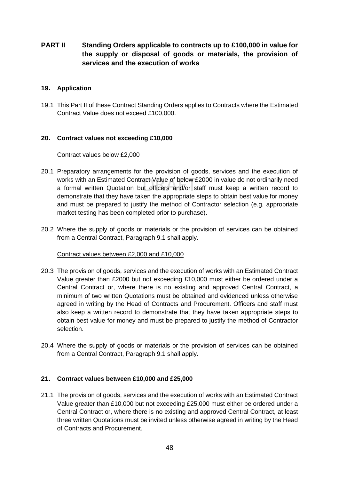#### **PART II Standing Orders applicable to contracts up to £100,000 in value for the supply or disposal of goods or materials, the provision of services and the execution of works**

#### **19. Application**

19.1 This Part II of these Contract Standing Orders applies to Contracts where the Estimated Contract Value does not exceed £100,000.

#### **20. Contract values not exceeding £10,000**

#### Contract values below £2,000

- 20.1 Preparatory arrangements for the provision of goods, services and the execution of works with an Estimated Contract Value of below £2000 in value do not ordinarily need a formal written Quotation but officers and/or staff must keep a written record to demonstrate that they have taken the appropriate steps to obtain best value for money and must be prepared to justify the method of Contractor selection (e.g. appropriate market testing has been completed prior to purchase).
- 20.2 Where the supply of goods or materials or the provision of services can be obtained from a Central Contract, Paragraph 9.1 shall apply.

#### Contract values between £2,000 and £10,000

- 20.3 The provision of goods, services and the execution of works with an Estimated Contract Value greater than £2000 but not exceeding £10,000 must either be ordered under a Central Contract or, where there is no existing and approved Central Contract, a minimum of two written Quotations must be obtained and evidenced unless otherwise agreed in writing by the Head of Contracts and Procurement. Officers and staff must also keep a written record to demonstrate that they have taken appropriate steps to obtain best value for money and must be prepared to justify the method of Contractor selection.
- 20.4 Where the supply of goods or materials or the provision of services can be obtained from a Central Contract, Paragraph 9.1 shall apply.

#### **21. Contract values between £10,000 and £25,000**

21.1 The provision of goods, services and the execution of works with an Estimated Contract Value greater than £10,000 but not exceeding £25,000 must either be ordered under a Central Contract or, where there is no existing and approved Central Contract, at least three written Quotations must be invited unless otherwise agreed in writing by the Head of Contracts and Procurement.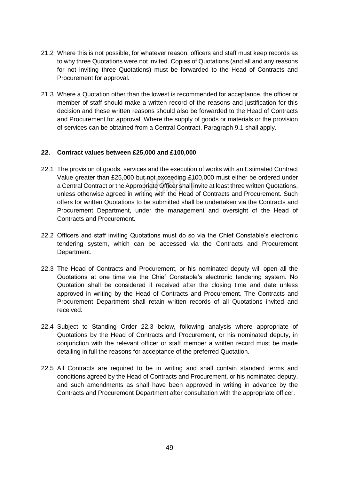- 21.2 Where this is not possible, for whatever reason, officers and staff must keep records as to why three Quotations were not invited. Copies of Quotations (and all and any reasons for not inviting three Quotations) must be forwarded to the Head of Contracts and Procurement for approval.
- 21.3 Where a Quotation other than the lowest is recommended for acceptance, the officer or member of staff should make a written record of the reasons and justification for this decision and these written reasons should also be forwarded to the Head of Contracts and Procurement for approval. Where the supply of goods or materials or the provision of services can be obtained from a Central Contract, Paragraph 9.1 shall apply.

#### **22. Contract values between £25,000 and £100,000**

- 22.1 The provision of goods, services and the execution of works with an Estimated Contract Value greater than £25,000 but not exceeding £100,000 must either be ordered under a Central Contract or the Appropriate Officer shall invite at least three written Quotations, unless otherwise agreed in writing with the Head of Contracts and Procurement. Such offers for written Quotations to be submitted shall be undertaken via the Contracts and Procurement Department, under the management and oversight of the Head of Contracts and Procurement.
- 22.2 Officers and staff inviting Quotations must do so via the Chief Constable's electronic tendering system, which can be accessed via the Contracts and Procurement Department.
- 22.3 The Head of Contracts and Procurement, or his nominated deputy will open all the Quotations at one time via the Chief Constable's electronic tendering system. No Quotation shall be considered if received after the closing time and date unless approved in writing by the Head of Contracts and Procurement. The Contracts and Procurement Department shall retain written records of all Quotations invited and received.
- 22.4 Subject to Standing Order 22.3 below, following analysis where appropriate of Quotations by the Head of Contracts and Procurement, or his nominated deputy, in conjunction with the relevant officer or staff member a written record must be made detailing in full the reasons for acceptance of the preferred Quotation.
- 22.5 All Contracts are required to be in writing and shall contain standard terms and conditions agreed by the Head of Contracts and Procurement, or his nominated deputy, and such amendments as shall have been approved in writing in advance by the Contracts and Procurement Department after consultation with the appropriate officer.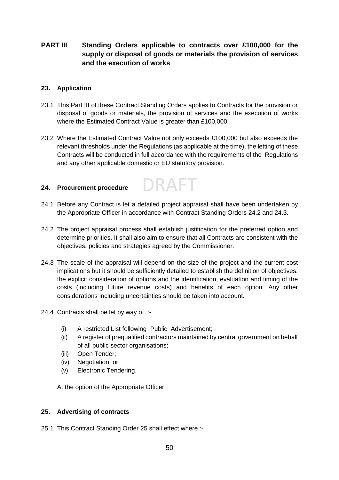#### **PART III Standing Orders applicable to contracts over £100,000 for the supply or disposal of goods or materials the provision of services and the execution of works**

#### **23. Application**

- 23.1 This Part III of these Contract Standing Orders applies to Contracts for the provision or disposal of goods or materials, the provision of services and the execution of works where the Estimated Contract Value is greater than £100,000.
- 23.2 Where the Estimated Contract Value not only exceeds £100,000 but also exceeds the relevant thresholds under the Regulations (as applicable at the time), the letting of these Contracts will be conducted in full accordance with the requirements of the Regulations and any other applicable domestic or EU statutory provision.

#### **24. Procurement procedure**

24.1 Before any Contract is let a detailed project appraisal shall have been undertaken by the Appropriate Officer in accordance with Contract Standing Orders 24.2 and 24.3.

DRAFT

- 24.2 The project appraisal process shall establish justification for the preferred option and determine priorities. It shall also aim to ensure that all Contracts are consistent with the objectives, policies and strategies agreed by the Commissioner.
- 24.3 The scale of the appraisal will depend on the size of the project and the current cost implications but it should be sufficiently detailed to establish the definition of objectives, the explicit consideration of options and the identification, evaluation and timing of the costs (including future revenue costs) and benefits of each option. Any other considerations including uncertainties should be taken into account.
- 24.4 Contracts shall be let by way of :-
	- (i) A restricted List following Public Advertisement;
	- (ii) A register of prequalified contractors maintained by central government on behalf of all public sector organisations;
	- (iii) Open Tender;
	- (iv) Negotiation; or
	- (v) Electronic Tendering.

At the option of the Appropriate Officer.

#### **25. Advertising of contracts**

25.1 This Contract Standing Order 25 shall effect where :-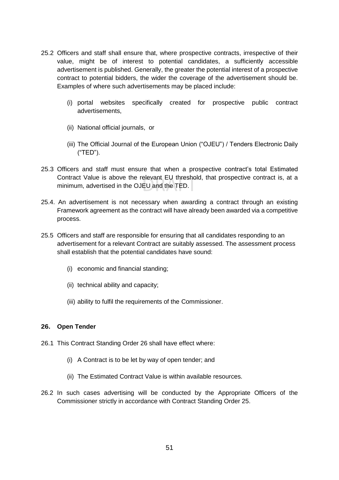- 25.2 Officers and staff shall ensure that, where prospective contracts, irrespective of their value, might be of interest to potential candidates, a sufficiently accessible advertisement is published. Generally, the greater the potential interest of a prospective contract to potential bidders, the wider the coverage of the advertisement should be. Examples of where such advertisements may be placed include:
	- (i) portal websites specifically created for prospective public contract advertisements,
	- (ii) National official journals, or
	- (iii) The Official Journal of the European Union ("OJEU") / Tenders Electronic Daily ("TED").
- 25.3 Officers and staff must ensure that when a prospective contract's total Estimated Contract Value is above the relevant EU threshold, that prospective contract is, at a minimum, advertised in the OJEU and the TED.
- 25.4. An advertisement is not necessary when awarding a contract through an existing Framework agreement as the contract will have already been awarded via a competitive process.
- 25.5 Officers and staff are responsible for ensuring that all candidates responding to an advertisement for a relevant Contract are suitably assessed. The assessment process shall establish that the potential candidates have sound:
	- (i) economic and financial standing;
	- (ii) technical ability and capacity;
	- (iii) ability to fulfil the requirements of the Commissioner.

#### **26. Open Tender**

- 26.1 This Contract Standing Order 26 shall have effect where:
	- (i) A Contract is to be let by way of open tender; and
	- (ii) The Estimated Contract Value is within available resources.
- 26.2 In such cases advertising will be conducted by the Appropriate Officers of the Commissioner strictly in accordance with Contract Standing Order 25.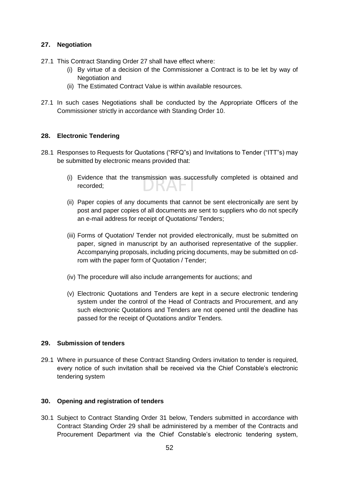#### **27. Negotiation**

- 27.1 This Contract Standing Order 27 shall have effect where:
	- (i) By virtue of a decision of the Commissioner a Contract is to be let by way of Negotiation and
	- (ii) The Estimated Contract Value is within available resources.
- 27.1 In such cases Negotiations shall be conducted by the Appropriate Officers of the Commissioner strictly in accordance with Standing Order 10.

#### **28. Electronic Tendering**

- 28.1 Responses to Requests for Quotations ("RFQ"s) and Invitations to Tender ("ITT"s) may be submitted by electronic means provided that:
	- (i) Evidence that the transmission was successfully completed is obtained and recorded;
	- (ii) Paper copies of any documents that cannot be sent electronically are sent by post and paper copies of all documents are sent to suppliers who do not specify an e-mail address for receipt of Quotations/ Tenders;
	- (iii) Forms of Quotation/ Tender not provided electronically, must be submitted on paper, signed in manuscript by an authorised representative of the supplier. Accompanying proposals, including pricing documents, may be submitted on cdrom with the paper form of Quotation / Tender;
	- (iv) The procedure will also include arrangements for auctions; and
	- (v) Electronic Quotations and Tenders are kept in a secure electronic tendering system under the control of the Head of Contracts and Procurement, and any such electronic Quotations and Tenders are not opened until the deadline has passed for the receipt of Quotations and/or Tenders.

#### **29. Submission of tenders**

29.1 Where in pursuance of these Contract Standing Orders invitation to tender is required, every notice of such invitation shall be received via the Chief Constable's electronic tendering system

#### **30. Opening and registration of tenders**

30.1 Subject to Contract Standing Order 31 below, Tenders submitted in accordance with Contract Standing Order 29 shall be administered by a member of the Contracts and Procurement Department via the Chief Constable's electronic tendering system,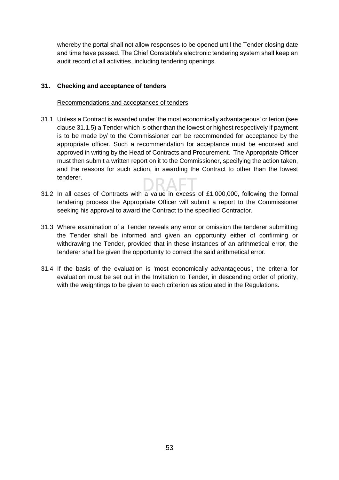whereby the portal shall not allow responses to be opened until the Tender closing date and time have passed. The Chief Constable's electronic tendering system shall keep an audit record of all activities, including tendering openings.

#### **31. Checking and acceptance of tenders**

#### Recommendations and acceptances of tenders

- 31.1 Unless a Contract is awarded under 'the most economically advantageous' criterion (see clause 31.1.5) a Tender which is other than the lowest or highest respectively if payment is to be made by/ to the Commissioner can be recommended for acceptance by the appropriate officer. Such a recommendation for acceptance must be endorsed and approved in writing by the Head of Contracts and Procurement. The Appropriate Officer must then submit a written report on it to the Commissioner, specifying the action taken, and the reasons for such action, in awarding the Contract to other than the lowest tenderer.
- 31.2 In all cases of Contracts with a value in excess of £1,000,000, following the formal tendering process the Appropriate Officer will submit a report to the Commissioner seeking his approval to award the Contract to the specified Contractor.
- 31.3 Where examination of a Tender reveals any error or omission the tenderer submitting the Tender shall be informed and given an opportunity either of confirming or withdrawing the Tender, provided that in these instances of an arithmetical error, the tenderer shall be given the opportunity to correct the said arithmetical error.
- 31.4 If the basis of the evaluation is 'most economically advantageous', the criteria for evaluation must be set out in the Invitation to Tender, in descending order of priority, with the weightings to be given to each criterion as stipulated in the Regulations.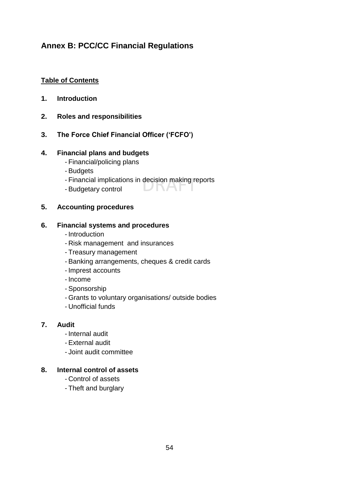## **Annex B: PCC/CC Financial Regulations**

#### **Table of Contents**

- **1. Introduction**
- **2. Roles and responsibilities**
- **3. The Force Chief Financial Officer ('FCFO')**

#### **4. Financial plans and budgets**

- Financial/policing plans
- Budgets
- Financial implications in decision making reports

**DIVAT** 

- Budgetary control

#### **5. Accounting procedures**

#### **6. Financial systems and procedures**

- Introduction
- Risk management and insurances
- Treasury management
- Banking arrangements, cheques & credit cards
- Imprest accounts
- Income
- Sponsorship
- Grants to voluntary organisations/ outside bodies
- Unofficial funds

#### **7. Audit**

- Internal audit
- External audit
- Joint audit committee

#### **8. Internal control of assets**

- Control of assets
- Theft and burglary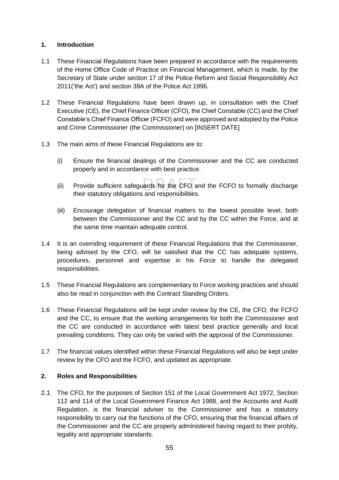#### **1. Introduction**

- 1.1 These Financial Regulations have been prepared in accordance with the requirements of the Home Office Code of Practice on Financial Management, which is made, by the Secretary of State under section 17 of the Police Reform and Social Responsibility Act 2011('the Act') and section 39A of the Police Act 1996.
- 1.2 These Financial Regulations have been drawn up, in consultation with the Chief Executive (CE), the Chief Finance Officer (CFO), the Chief Constable (CC) and the Chief Constable's Chief Finance Officer (FCFO) and were approved and adopted by the Police and Crime Commissioner (the Commissioner) on [INSERT DATE]
- 1.3 The main aims of these Financial Regulations are to:
	- (i) Ensure the financial dealings of the Commissioner and the CC are conducted properly and in accordance with best practice.
	- (ii) Provide sufficient safeguards for the CFO and the FCFO to formally discharge their statutory obligations and responsibilities.
	- (iii) Encourage delegation of financial matters to the lowest possible level, both between the Commissioner and the CC and by the CC within the Force, and at the same time maintain adequate control.
- 1.4 It is an overriding requirement of these Financial Regulations that the Commissioner, being advised by the CFO, will be satisfied that the CC has adequate systems, procedures, personnel and expertise in his Force to handle the delegated responsibilities.
- 1.5 These Financial Regulations are complementary to Force working practices and should also be read in conjunction with the Contract Standing Orders.
- 1.6 These Financial Regulations will be kept under review by the CE, the CFO, the FCFO and the CC, to ensure that the working arrangements for both the Commissioner and the CC are conducted in accordance with latest best practice generally and local prevailing conditions. They can only be varied with the approval of the Commissioner.
- 1.7 The financial values identified within these Financial Regulations will also be kept under review by the CFO and the FCFO, and updated as appropriate.

#### **2. Roles and Responsibilities**

2.1 The CFO, for the purposes of Section 151 of the Local Government Act 1972, Section 112 and 114 of the Local Government Finance Act 1988, and the Accounts and Audit Regulation, is the financial adviser to the Commissioner and has a statutory responsibility to carry out the functions of the CFO, ensuring that the financial affairs of the Commissioner and the CC are properly administered having regard to their probity, legality and appropriate standards.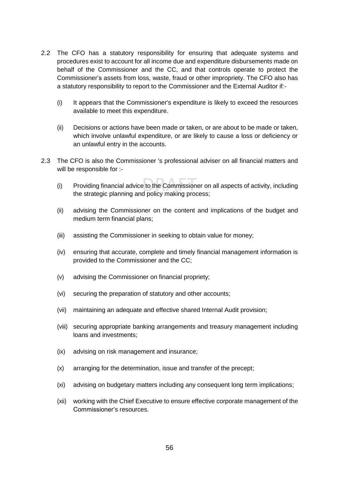- 2.2 The CFO has a statutory responsibility for ensuring that adequate systems and procedures exist to account for all income due and expenditure disbursements made on behalf of the Commissioner and the CC, and that controls operate to protect the Commissioner's assets from loss, waste, fraud or other impropriety. The CFO also has a statutory responsibility to report to the Commissioner and the External Auditor if:-
	- (i) It appears that the Commissioner's expenditure is likely to exceed the resources available to meet this expenditure.
	- (ii) Decisions or actions have been made or taken, or are about to be made or taken, which involve unlawful expenditure, or are likely to cause a loss or deficiency or an unlawful entry in the accounts.
- 2.3 The CFO is also the Commissioner 's professional adviser on all financial matters and will be responsible for :-
	- (i) Providing financial advice to the Commissioner on all aspects of activity, including the strategic planning and policy making process;
	- (ii) advising the Commissioner on the content and implications of the budget and medium term financial plans;
	- (iii) assisting the Commissioner in seeking to obtain value for money;
	- (iv) ensuring that accurate, complete and timely financial management information is provided to the Commissioner and the CC;
	- (v) advising the Commissioner on financial propriety;
	- (vi) securing the preparation of statutory and other accounts;
	- (vii) maintaining an adequate and effective shared Internal Audit provision;
	- (viii) securing appropriate banking arrangements and treasury management including loans and investments;
	- (ix) advising on risk management and insurance;
	- (x) arranging for the determination, issue and transfer of the precept;
	- (xi) advising on budgetary matters including any consequent long term implications;
	- (xii) working with the Chief Executive to ensure effective corporate management of the Commissioner's resources.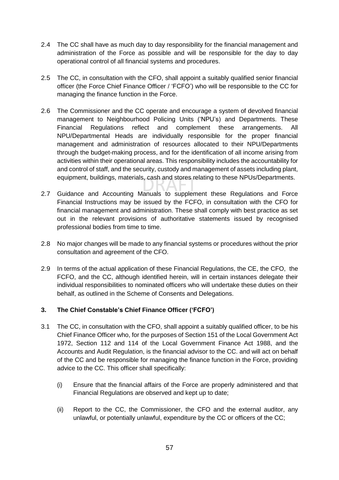- 2.4 The CC shall have as much day to day responsibility for the financial management and administration of the Force as possible and will be responsible for the day to day operational control of all financial systems and procedures.
- 2.5 The CC, in consultation with the CFO, shall appoint a suitably qualified senior financial officer (the Force Chief Finance Officer / 'FCFO') who will be responsible to the CC for managing the finance function in the Force.
- 2.6 The Commissioner and the CC operate and encourage a system of devolved financial management to Neighbourhood Policing Units ('NPU's) and Departments. These Financial Regulations reflect and complement these arrangements. All NPU/Departmental Heads are individually responsible for the proper financial management and administration of resources allocated to their NPU/Departments through the budget-making process, and for the identification of all income arising from activities within their operational areas. This responsibility includes the accountability for and control of staff, and the security, custody and management of assets including plant, equipment, buildings, materials, cash and stores relating to these NPUs/Departments.
- 2.7 Guidance and Accounting Manuals to supplement these Regulations and Force Financial Instructions may be issued by the FCFO, in consultation with the CFO for financial management and administration. These shall comply with best practice as set out in the relevant provisions of authoritative statements issued by recognised professional bodies from time to time.
- 2.8 No major changes will be made to any financial systems or procedures without the prior consultation and agreement of the CFO.
- 2.9 In terms of the actual application of these Financial Regulations, the CE, the CFO, the FCFO, and the CC, although identified herein, will in certain instances delegate their individual responsibilities to nominated officers who will undertake these duties on their behalf, as outlined in the Scheme of Consents and Delegations.

#### **3. The Chief Constable's Chief Finance Officer ('FCFO')**

- 3.1 The CC, in consultation with the CFO, shall appoint a suitably qualified officer, to be his Chief Finance Officer who, for the purposes of Section 151 of the Local Government Act 1972, Section 112 and 114 of the Local Government Finance Act 1988, and the Accounts and Audit Regulation, is the financial advisor to the CC. and will act on behalf of the CC and be responsible for managing the finance function in the Force, providing advice to the CC. This officer shall specifically:
	- (i) Ensure that the financial affairs of the Force are properly administered and that Financial Regulations are observed and kept up to date;
	- (ii) Report to the CC, the Commissioner, the CFO and the external auditor, any unlawful, or potentially unlawful, expenditure by the CC or officers of the CC;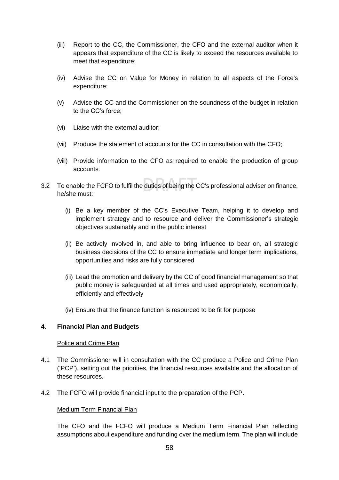- (iii) Report to the CC, the Commissioner, the CFO and the external auditor when it appears that expenditure of the CC is likely to exceed the resources available to meet that expenditure;
- (iv) Advise the CC on Value for Money in relation to all aspects of the Force's expenditure;
- (v) Advise the CC and the Commissioner on the soundness of the budget in relation to the CC's force;
- (vi) Liaise with the external auditor;
- (vii) Produce the statement of accounts for the CC in consultation with the CFO;
- (viii) Provide information to the CFO as required to enable the production of group accounts.
- 3.2 To enable the FCFO to fulfil the duties of being the CC's professional adviser on finance, he/she must:
	- (i) Be a key member of the CC's Executive Team, helping it to develop and implement strategy and to resource and deliver the Commissioner's strategic objectives sustainably and in the public interest
	- (ii) Be actively involved in, and able to bring influence to bear on, all strategic business decisions of the CC to ensure immediate and longer term implications, opportunities and risks are fully considered
	- (iii) Lead the promotion and delivery by the CC of good financial management so that public money is safeguarded at all times and used appropriately, economically, efficiently and effectively
	- (iv) Ensure that the finance function is resourced to be fit for purpose

#### **4. Financial Plan and Budgets**

#### Police and Crime Plan

- 4.1 The Commissioner will in consultation with the CC produce a Police and Crime Plan ('PCP'), setting out the priorities, the financial resources available and the allocation of these resources.
- 4.2 The FCFO will provide financial input to the preparation of the PCP.

#### Medium Term Financial Plan

The CFO and the FCFO will produce a Medium Term Financial Plan reflecting assumptions about expenditure and funding over the medium term. The plan will include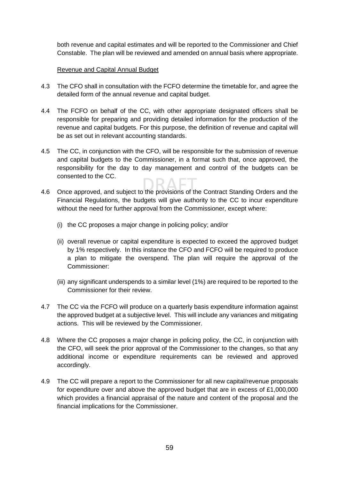both revenue and capital estimates and will be reported to the Commissioner and Chief Constable. The plan will be reviewed and amended on annual basis where appropriate.

#### Revenue and Capital Annual Budget

- 4.3 The CFO shall in consultation with the FCFO determine the timetable for, and agree the detailed form of the annual revenue and capital budget.
- 4.4 The FCFO on behalf of the CC, with other appropriate designated officers shall be responsible for preparing and providing detailed information for the production of the revenue and capital budgets. For this purpose, the definition of revenue and capital will be as set out in relevant accounting standards.
- 4.5 The CC, in conjunction with the CFO, will be responsible for the submission of revenue and capital budgets to the Commissioner, in a format such that, once approved, the responsibility for the day to day management and control of the budgets can be consented to the CC.
- 4.6 Once approved, and subject to the provisions of the Contract Standing Orders and the Financial Regulations, the budgets will give authority to the CC to incur expenditure without the need for further approval from the Commissioner, except where:
	- (i) the CC proposes a major change in policing policy; and/or
	- (ii) overall revenue or capital expenditure is expected to exceed the approved budget by 1% respectively. In this instance the CFO and FCFO will be required to produce a plan to mitigate the overspend. The plan will require the approval of the Commissioner:
	- (iii) any significant underspends to a similar level (1%) are required to be reported to the Commissioner for their review.
- 4.7 The CC via the FCFO will produce on a quarterly basis expenditure information against the approved budget at a subjective level. This will include any variances and mitigating actions. This will be reviewed by the Commissioner.
- 4.8 Where the CC proposes a major change in policing policy, the CC, in conjunction with the CFO, will seek the prior approval of the Commissioner to the changes, so that any additional income or expenditure requirements can be reviewed and approved accordingly.
- 4.9 The CC will prepare a report to the Commissioner for all new capital/revenue proposals for expenditure over and above the approved budget that are in excess of £1,000,000 which provides a financial appraisal of the nature and content of the proposal and the financial implications for the Commissioner.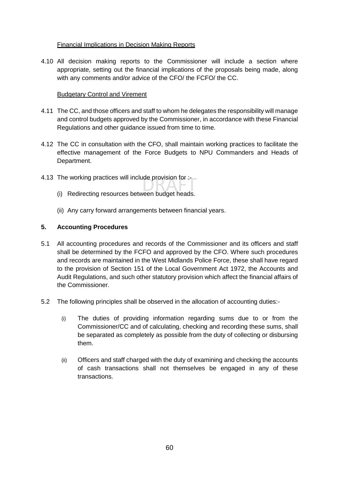#### Financial Implications in Decision Making Reports

4.10 All decision making reports to the Commissioner will include a section where appropriate, setting out the financial implications of the proposals being made, along with any comments and/or advice of the CFO/ the FCFO/ the CC.

#### Budgetary Control and Virement

- 4.11 The CC, and those officers and staff to whom he delegates the responsibility will manage and control budgets approved by the Commissioner, in accordance with these Financial Regulations and other guidance issued from time to time.
- 4.12 The CC in consultation with the CFO, shall maintain working practices to facilitate the effective management of the Force Budgets to NPU Commanders and Heads of Department.
- 4.13 The working practices will include provision for :-
	- (i) Redirecting resources between budget heads.
	- (ii) Any carry forward arrangements between financial years.

#### **5. Accounting Procedures**

- 5.1 All accounting procedures and records of the Commissioner and its officers and staff shall be determined by the FCFO and approved by the CFO. Where such procedures and records are maintained in the West Midlands Police Force, these shall have regard to the provision of Section 151 of the Local Government Act 1972, the Accounts and Audit Regulations, and such other statutory provision which affect the financial affairs of the Commissioner.
- 5.2 The following principles shall be observed in the allocation of accounting duties:-
	- (i) The duties of providing information regarding sums due to or from the Commissioner/CC and of calculating, checking and recording these sums, shall be separated as completely as possible from the duty of collecting or disbursing them.
	- (ii) Officers and staff charged with the duty of examining and checking the accounts of cash transactions shall not themselves be engaged in any of these transactions.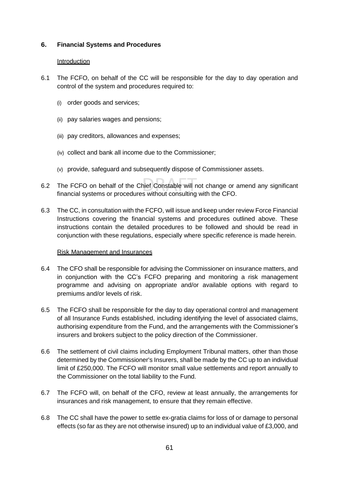#### **6. Financial Systems and Procedures**

#### **Introduction**

- 6.1 The FCFO, on behalf of the CC will be responsible for the day to day operation and control of the system and procedures required to:
	- (i) order goods and services;
	- (ii) pay salaries wages and pensions;
	- (iii) pay creditors, allowances and expenses;
	- (iv) collect and bank all income due to the Commissioner;
	- (v) provide, safeguard and subsequently dispose of Commissioner assets.
- 6.2 The FCFO on behalf of the Chief Constable will not change or amend any significant financial systems or procedures without consulting with the CFO.
- 6.3 The CC, in consultation with the FCFO, will issue and keep under review Force Financial Instructions covering the financial systems and procedures outlined above. These instructions contain the detailed procedures to be followed and should be read in conjunction with these regulations, especially where specific reference is made herein.

#### Risk Management and Insurances

- 6.4 The CFO shall be responsible for advising the Commissioner on insurance matters, and in conjunction with the CC's FCFO preparing and monitoring a risk management programme and advising on appropriate and/or available options with regard to premiums and/or levels of risk.
- 6.5 The FCFO shall be responsible for the day to day operational control and management of all Insurance Funds established, including identifying the level of associated claims, authorising expenditure from the Fund, and the arrangements with the Commissioner's insurers and brokers subject to the policy direction of the Commissioner.
- 6.6 The settlement of civil claims including Employment Tribunal matters, other than those determined by the Commissioner's Insurers, shall be made by the CC up to an individual limit of £250,000. The FCFO will monitor small value settlements and report annually to the Commissioner on the total liability to the Fund.
- 6.7 The FCFO will, on behalf of the CFO, review at least annually, the arrangements for insurances and risk management, to ensure that they remain effective.
- 6.8 The CC shall have the power to settle ex-gratia claims for loss of or damage to personal effects (so far as they are not otherwise insured) up to an individual value of £3,000, and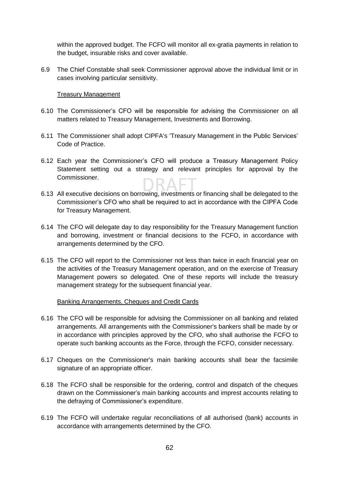within the approved budget. The FCFO will monitor all ex-gratia payments in relation to the budget, insurable risks and cover available.

6.9 The Chief Constable shall seek Commissioner approval above the individual limit or in cases involving particular sensitivity.

#### Treasury Management

- 6.10 The Commissioner's CFO will be responsible for advising the Commissioner on all matters related to Treasury Management, Investments and Borrowing.
- 6.11 The Commissioner shall adopt CIPFA's 'Treasury Management in the Public Services' Code of Practice.
- 6.12 Each year the Commissioner's CFO will produce a Treasury Management Policy Statement setting out a strategy and relevant principles for approval by the Commissioner.
- 6.13 All executive decisions on borrowing, investments or financing shall be delegated to the Commissioner's CFO who shall be required to act in accordance with the CIPFA Code for Treasury Management.
- 6.14 The CFO will delegate day to day responsibility for the Treasury Management function and borrowing, investment or financial decisions to the FCFO, in accordance with arrangements determined by the CFO.
- 6.15 The CFO will report to the Commissioner not less than twice in each financial year on the activities of the Treasury Management operation, and on the exercise of Treasury Management powers so delegated. One of these reports will include the treasury management strategy for the subsequent financial year.

#### Banking Arrangements, Cheques and Credit Cards

- 6.16 The CFO will be responsible for advising the Commissioner on all banking and related arrangements. All arrangements with the Commissioner's bankers shall be made by or in accordance with principles approved by the CFO, who shall authorise the FCFO to operate such banking accounts as the Force, through the FCFO, consider necessary.
- 6.17 Cheques on the Commissioner's main banking accounts shall bear the facsimile signature of an appropriate officer.
- 6.18 The FCFO shall be responsible for the ordering, control and dispatch of the cheques drawn on the Commissioner's main banking accounts and imprest accounts relating to the defraying of Commissioner's expenditure.
- 6.19 The FCFO will undertake regular reconciliations of all authorised (bank) accounts in accordance with arrangements determined by the CFO.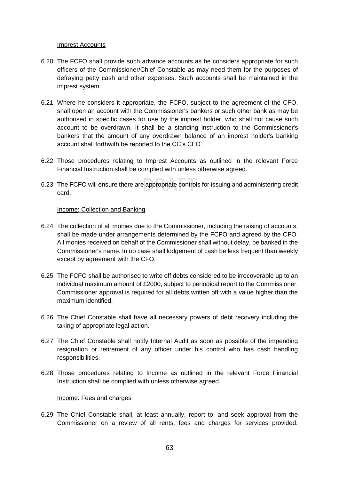#### Imprest Accounts

- 6.20 The FCFO shall provide such advance accounts as he considers appropriate for such officers of the Commissioner/Chief Constable as may need them for the purposes of defraying petty cash and other expenses. Such accounts shall be maintained in the imprest system.
- 6.21 Where he considers it appropriate, the FCFO, subject to the agreement of the CFO, shall open an account with the Commissioner's bankers or such other bank as may be authorised in specific cases for use by the imprest holder, who shall not cause such account to be overdrawn. It shall be a standing instruction to the Commissioner's bankers that the amount of any overdrawn balance of an imprest holder's banking account shall forthwith be reported to the CC's CFO.
- 6.22 Those procedures relating to Imprest Accounts as outlined in the relevant Force Financial Instruction shall be complied with unless otherwise agreed.
- 6.23 The FCFO will ensure there are appropriate controls for issuing and administering credit card.

#### Income: Collection and Banking

- 6.24 The collection of all monies due to the Commissioner, including the raising of accounts, shall be made under arrangements determined by the FCFO and agreed by the CFO. All monies received on behalf of the Commissioner shall without delay, be banked in the Commissioner's name. In no case shall lodgement of cash be less frequent than weekly except by agreement with the CFO.
- 6.25 The FCFO shall be authorised to write off debts considered to be irrecoverable up to an individual maximum amount of £2000, subject to periodical report to the Commissioner. Commissioner approval is required for all debts written off with a value higher than the maximum identified.
- 6.26 The Chief Constable shall have all necessary powers of debt recovery including the taking of appropriate legal action.
- 6.27 The Chief Constable shall notify Internal Audit as soon as possible of the impending resignation or retirement of any officer under his control who has cash handling responsibilities.
- 6.28 Those procedures relating to Income as outlined in the relevant Force Financial Instruction shall be complied with unless otherwise agreed.

#### Income: Fees and charges

6.29 The Chief Constable shall, at least annually, report to, and seek approval from the Commissioner on a review of all rents, fees and charges for services provided.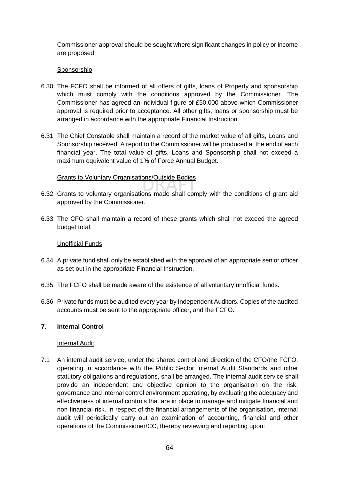Commissioner approval should be sought where significant changes in policy or income are proposed.

#### **Sponsorship**

- 6.30 The FCFO shall be informed of all offers of gifts, loans of Property and sponsorship which must comply with the conditions approved by the Commissioner. The Commissioner has agreed an individual figure of £50,000 above which Commissioner approval is required prior to acceptance. All other gifts, loans or sponsorship must be arranged in accordance with the appropriate Financial Instruction.
- 6.31 The Chief Constable shall maintain a record of the market value of all gifts, Loans and Sponsorship received. A report to the Commissioner will be produced at the end of each financial year. The total value of gifts, Loans and Sponsorship shall not exceed a maximum equivalent value of 1% of Force Annual Budget.

#### Grants to Voluntary Organisations/Outside Bodies

- 6.32 Grants to voluntary organisations made shall comply with the conditions of grant aid approved by the Commissioner.
- 6.33 The CFO shall maintain a record of these grants which shall not exceed the agreed budget total.

#### Unofficial Funds

- 6.34 A private fund shall only be established with the approval of an appropriate senior officer as set out in the appropriate Financial Instruction.
- 6.35 The FCFO shall be made aware of the existence of all voluntary unofficial funds.
- 6.36 Private funds must be audited every year by Independent Auditors. Copies of the audited accounts must be sent to the appropriate officer, and the FCFO.

#### **7. Internal Control**

#### **Internal Audit**

7.1 An internal audit service, under the shared control and direction of the CFO/the FCFO, operating in accordance with the Public Sector Internal Audit Standards and other statutory obligations and regulations, shall be arranged. The internal audit service shall provide an independent and objective opinion to the organisation on the risk, governance and internal control environment operating, by evaluating the adequacy and effectiveness of internal controls that are in place to manage and mitigate financial and non-financial risk. In respect of the financial arrangements of the organisation, internal audit will periodically carry out an examination of accounting, financial and other operations of the Commissioner/CC, thereby reviewing and reporting upon: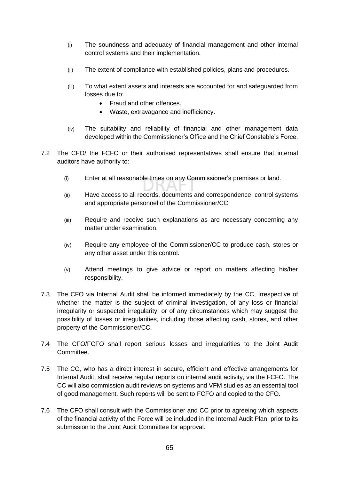- (i) The soundness and adequacy of financial management and other internal control systems and their implementation.
- (ii) The extent of compliance with established policies, plans and procedures.
- (iii) To what extent assets and interests are accounted for and safeguarded from losses due to:
	- Fraud and other offences.
	- Waste, extravagance and inefficiency.
- (iv) The suitability and reliability of financial and other management data developed within the Commissioner's Office and the Chief Constable's Force.
- 7.2 The CFO/ the FCFO or their authorised representatives shall ensure that internal auditors have authority to:
	- (i) Enter at all reasonable times on any Commissioner's premises or land.
	- (ii) Have access to all records, documents and correspondence, control systems and appropriate personnel of the Commissioner/CC.
	- (iii) Require and receive such explanations as are necessary concerning any matter under examination.
	- (iv) Require any employee of the Commissioner/CC to produce cash, stores or any other asset under this control.
	- (v) Attend meetings to give advice or report on matters affecting his/her responsibility.
- 7.3 The CFO via Internal Audit shall be informed immediately by the CC, irrespective of whether the matter is the subject of criminal investigation, of any loss or financial irregularity or suspected irregularity, or of any circumstances which may suggest the possibility of losses or irregularities, including those affecting cash, stores, and other property of the Commissioner/CC.
- 7.4 The CFO/FCFO shall report serious losses and irregularities to the Joint Audit Committee.
- 7.5 The CC, who has a direct interest in secure, efficient and effective arrangements for Internal Audit, shall receive regular reports on internal audit activity, via the FCFO. The CC will also commission audit reviews on systems and VFM studies as an essential tool of good management. Such reports will be sent to FCFO and copied to the CFO.
- 7.6 The CFO shall consult with the Commissioner and CC prior to agreeing which aspects of the financial activity of the Force will be included in the Internal Audit Plan, prior to its submission to the Joint Audit Committee for approval.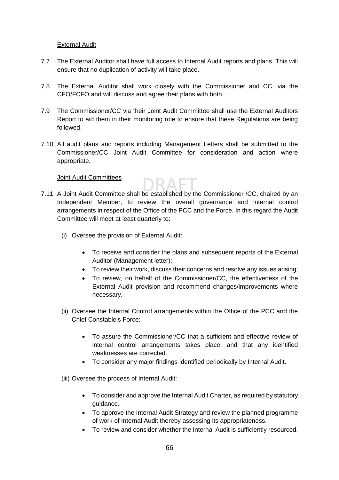#### External Audit

- 7.7 The External Auditor shall have full access to Internal Audit reports and plans. This will ensure that no duplication of activity will take place.
- 7.8 The External Auditor shall work closely with the Commissioner and CC, via the CFO/FCFO and will discuss and agree their plans with both.
- 7.9 The Commissioner/CC via their Joint Audit Committee shall use the External Auditors Report to aid them in their monitoring role to ensure that these Regulations are being followed.
- 7.10 All audit plans and reports including Management Letters shall be submitted to the Commissioner/CC Joint Audit Committee for consideration and action where appropriate.

#### Joint Audit Committees

- 7.11 A Joint Audit Committee shall be established by the Commissioner /CC, chaired by an Independent Member, to review the overall governance and internal control arrangements in respect of the Office of the PCC and the Force. In this regard the Audit Committee will meet at least quarterly to:
	- (i) Oversee the provision of External Audit:
		- To receive and consider the plans and subsequent reports of the External Auditor (Management letter);
		- To review their work, discuss their concerns and resolve any issues arising;
		- To review, on behalf of the Commissioner/CC, the effectiveness of the External Audit provision and recommend changes/improvements where necessary.
	- (ii) Oversee the Internal Control arrangements within the Office of the PCC and the Chief Constable's Force:
		- To assure the Commissioner/CC that a sufficient and effective review of internal control arrangements takes place; and that any identified weaknesses are corrected.
		- To consider any major findings identified periodically by Internal Audit.
	- (iii) Oversee the process of Internal Audit:
		- To consider and approve the Internal Audit Charter, as required by statutory guidance.
		- To approve the Internal Audit Strategy and review the planned programme of work of Internal Audit thereby assessing its appropriateness.
		- To review and consider whether the Internal Audit is sufficiently resourced.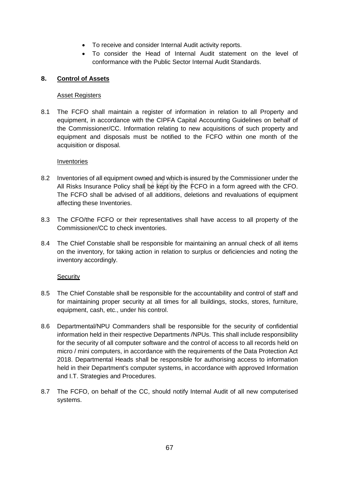- To receive and consider Internal Audit activity reports.
- To consider the Head of Internal Audit statement on the level of conformance with the Public Sector Internal Audit Standards.

#### **8. Control of Assets**

#### Asset Registers

8.1 The FCFO shall maintain a register of information in relation to all Property and equipment, in accordance with the CIPFA Capital Accounting Guidelines on behalf of the Commissioner/CC. Information relating to new acquisitions of such property and equipment and disposals must be notified to the FCFO within one month of the acquisition or disposal.

#### Inventories

- 8.2 Inventories of all equipment owned and which is insured by the Commissioner under the All Risks Insurance Policy shall be kept by the FCFO in a form agreed with the CFO. The FCFO shall be advised of all additions, deletions and revaluations of equipment affecting these Inventories.
- 8.3 The CFO/the FCFO or their representatives shall have access to all property of the Commissioner/CC to check inventories.
- 8.4 The Chief Constable shall be responsible for maintaining an annual check of all items on the inventory, for taking action in relation to surplus or deficiencies and noting the inventory accordingly.

#### **Security**

- 8.5 The Chief Constable shall be responsible for the accountability and control of staff and for maintaining proper security at all times for all buildings, stocks, stores, furniture, equipment, cash, etc., under his control.
- 8.6 Departmental/NPU Commanders shall be responsible for the security of confidential information held in their respective Departments /NPUs. This shall include responsibility for the security of all computer software and the control of access to all records held on micro / mini computers, in accordance with the requirements of the Data Protection Act 2018. Departmental Heads shall be responsible for authorising access to information held in their Department's computer systems, in accordance with approved Information and I.T. Strategies and Procedures.
- 8.7 The FCFO, on behalf of the CC, should notify Internal Audit of all new computerised systems.